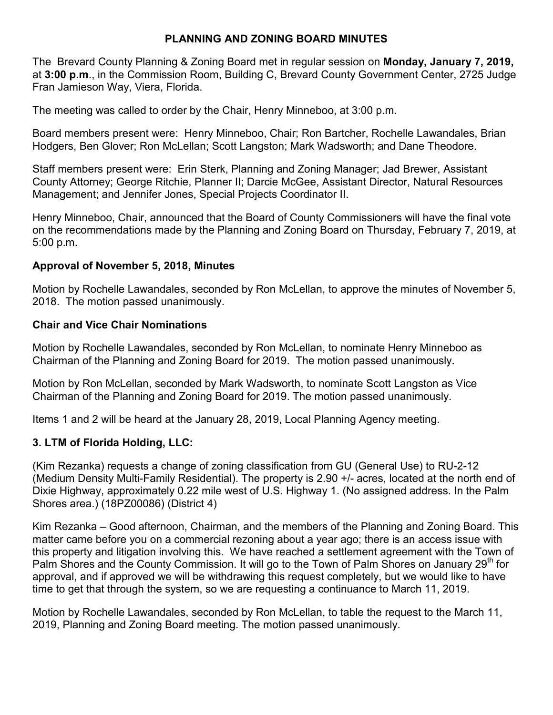## **PLANNING AND ZONING BOARD MINUTES**

The Brevard County Planning & Zoning Board met in regular session on **Monday, January 7, 2019,**  at **3:00 p.m**., in the Commission Room, Building C, Brevard County Government Center, 2725 Judge Fran Jamieson Way, Viera, Florida.

The meeting was called to order by the Chair, Henry Minneboo, at 3:00 p.m.

Board members present were: Henry Minneboo, Chair; Ron Bartcher, Rochelle Lawandales, Brian Hodgers, Ben Glover; Ron McLellan; Scott Langston; Mark Wadsworth; and Dane Theodore.

Staff members present were: Erin Sterk, Planning and Zoning Manager; Jad Brewer, Assistant County Attorney; George Ritchie, Planner II; Darcie McGee, Assistant Director, Natural Resources Management; and Jennifer Jones, Special Projects Coordinator II.

Henry Minneboo, Chair, announced that the Board of County Commissioners will have the final vote on the recommendations made by the Planning and Zoning Board on Thursday, February 7, 2019, at 5:00 p.m.

### **Approval of November 5, 2018, Minutes**

Motion by Rochelle Lawandales, seconded by Ron McLellan, to approve the minutes of November 5, 2018. The motion passed unanimously.

### **Chair and Vice Chair Nominations**

Motion by Rochelle Lawandales, seconded by Ron McLellan, to nominate Henry Minneboo as Chairman of the Planning and Zoning Board for 2019. The motion passed unanimously.

Motion by Ron McLellan, seconded by Mark Wadsworth, to nominate Scott Langston as Vice Chairman of the Planning and Zoning Board for 2019. The motion passed unanimously.

Items 1 and 2 will be heard at the January 28, 2019, Local Planning Agency meeting.

## **3. LTM of Florida Holding, LLC:**

(Kim Rezanka) requests a change of zoning classification from GU (General Use) to RU-2-12 (Medium Density Multi-Family Residential). The property is 2.90 +/- acres, located at the north end of Dixie Highway, approximately 0.22 mile west of U.S. Highway 1. (No assigned address. In the Palm Shores area.) (18PZ00086) (District 4)

Kim Rezanka – Good afternoon, Chairman, and the members of the Planning and Zoning Board. This matter came before you on a commercial rezoning about a year ago; there is an access issue with this property and litigation involving this. We have reached a settlement agreement with the Town of Palm Shores and the County Commission. It will go to the Town of Palm Shores on January 29<sup>th</sup> for approval, and if approved we will be withdrawing this request completely, but we would like to have time to get that through the system, so we are requesting a continuance to March 11, 2019.

Motion by Rochelle Lawandales, seconded by Ron McLellan, to table the request to the March 11, 2019, Planning and Zoning Board meeting. The motion passed unanimously.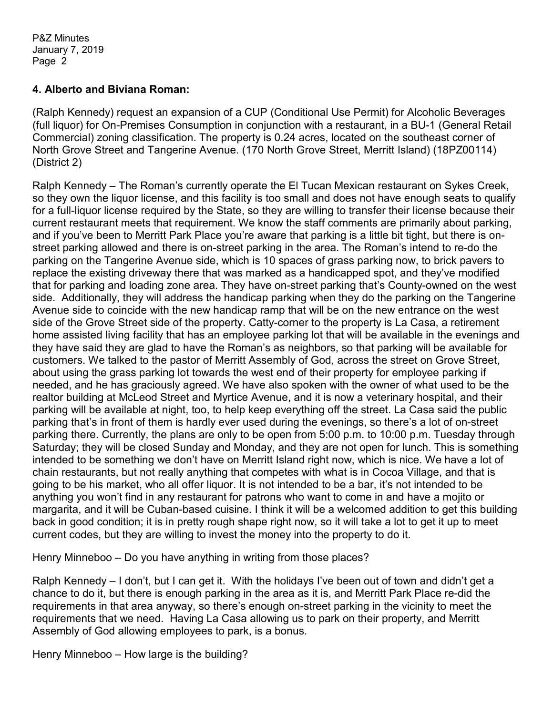#### **4. Alberto and Biviana Roman:**

(Ralph Kennedy) request an expansion of a CUP (Conditional Use Permit) for Alcoholic Beverages (full liquor) for On-Premises Consumption in conjunction with a restaurant, in a BU-1 (General Retail Commercial) zoning classification. The property is 0.24 acres, located on the southeast corner of North Grove Street and Tangerine Avenue. (170 North Grove Street, Merritt Island) (18PZ00114) (District 2)

Ralph Kennedy – The Roman's currently operate the El Tucan Mexican restaurant on Sykes Creek, so they own the liquor license, and this facility is too small and does not have enough seats to qualify for a full-liquor license required by the State, so they are willing to transfer their license because their current restaurant meets that requirement. We know the staff comments are primarily about parking, and if you've been to Merritt Park Place you're aware that parking is a little bit tight, but there is onstreet parking allowed and there is on-street parking in the area. The Roman's intend to re-do the parking on the Tangerine Avenue side, which is 10 spaces of grass parking now, to brick pavers to replace the existing driveway there that was marked as a handicapped spot, and they've modified that for parking and loading zone area. They have on-street parking that's County-owned on the west side. Additionally, they will address the handicap parking when they do the parking on the Tangerine Avenue side to coincide with the new handicap ramp that will be on the new entrance on the west side of the Grove Street side of the property. Catty-corner to the property is La Casa, a retirement home assisted living facility that has an employee parking lot that will be available in the evenings and they have said they are glad to have the Roman's as neighbors, so that parking will be available for customers. We talked to the pastor of Merritt Assembly of God, across the street on Grove Street, about using the grass parking lot towards the west end of their property for employee parking if needed, and he has graciously agreed. We have also spoken with the owner of what used to be the realtor building at McLeod Street and Myrtice Avenue, and it is now a veterinary hospital, and their parking will be available at night, too, to help keep everything off the street. La Casa said the public parking that's in front of them is hardly ever used during the evenings, so there's a lot of on-street parking there. Currently, the plans are only to be open from 5:00 p.m. to 10:00 p.m. Tuesday through Saturday; they will be closed Sunday and Monday, and they are not open for lunch. This is something intended to be something we don't have on Merritt Island right now, which is nice. We have a lot of chain restaurants, but not really anything that competes with what is in Cocoa Village, and that is going to be his market, who all offer liquor. It is not intended to be a bar, it's not intended to be anything you won't find in any restaurant for patrons who want to come in and have a mojito or margarita, and it will be Cuban-based cuisine. I think it will be a welcomed addition to get this building back in good condition; it is in pretty rough shape right now, so it will take a lot to get it up to meet current codes, but they are willing to invest the money into the property to do it.

Henry Minneboo – Do you have anything in writing from those places?

Ralph Kennedy – I don't, but I can get it. With the holidays I've been out of town and didn't get a chance to do it, but there is enough parking in the area as it is, and Merritt Park Place re-did the requirements in that area anyway, so there's enough on-street parking in the vicinity to meet the requirements that we need. Having La Casa allowing us to park on their property, and Merritt Assembly of God allowing employees to park, is a bonus.

Henry Minneboo – How large is the building?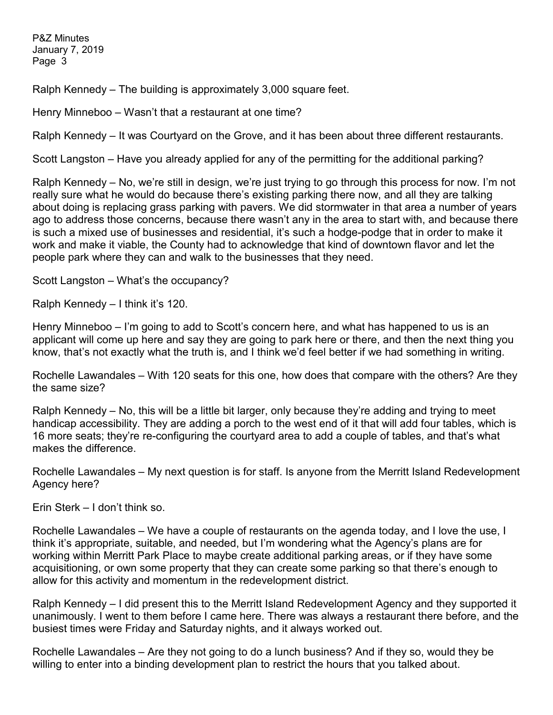Ralph Kennedy – The building is approximately 3,000 square feet.

Henry Minneboo – Wasn't that a restaurant at one time?

Ralph Kennedy – It was Courtyard on the Grove, and it has been about three different restaurants.

Scott Langston – Have you already applied for any of the permitting for the additional parking?

Ralph Kennedy – No, we're still in design, we're just trying to go through this process for now. I'm not really sure what he would do because there's existing parking there now, and all they are talking about doing is replacing grass parking with pavers. We did stormwater in that area a number of years ago to address those concerns, because there wasn't any in the area to start with, and because there is such a mixed use of businesses and residential, it's such a hodge-podge that in order to make it work and make it viable, the County had to acknowledge that kind of downtown flavor and let the people park where they can and walk to the businesses that they need.

Scott Langston – What's the occupancy?

Ralph Kennedy – I think it's 120.

Henry Minneboo – I'm going to add to Scott's concern here, and what has happened to us is an applicant will come up here and say they are going to park here or there, and then the next thing you know, that's not exactly what the truth is, and I think we'd feel better if we had something in writing.

Rochelle Lawandales – With 120 seats for this one, how does that compare with the others? Are they the same size?

Ralph Kennedy – No, this will be a little bit larger, only because they're adding and trying to meet handicap accessibility. They are adding a porch to the west end of it that will add four tables, which is 16 more seats; they're re-configuring the courtyard area to add a couple of tables, and that's what makes the difference.

Rochelle Lawandales – My next question is for staff. Is anyone from the Merritt Island Redevelopment Agency here?

Erin Sterk – I don't think so.

Rochelle Lawandales – We have a couple of restaurants on the agenda today, and I love the use, I think it's appropriate, suitable, and needed, but I'm wondering what the Agency's plans are for working within Merritt Park Place to maybe create additional parking areas, or if they have some acquisitioning, or own some property that they can create some parking so that there's enough to allow for this activity and momentum in the redevelopment district.

Ralph Kennedy – I did present this to the Merritt Island Redevelopment Agency and they supported it unanimously. I went to them before I came here. There was always a restaurant there before, and the busiest times were Friday and Saturday nights, and it always worked out.

Rochelle Lawandales – Are they not going to do a lunch business? And if they so, would they be willing to enter into a binding development plan to restrict the hours that you talked about.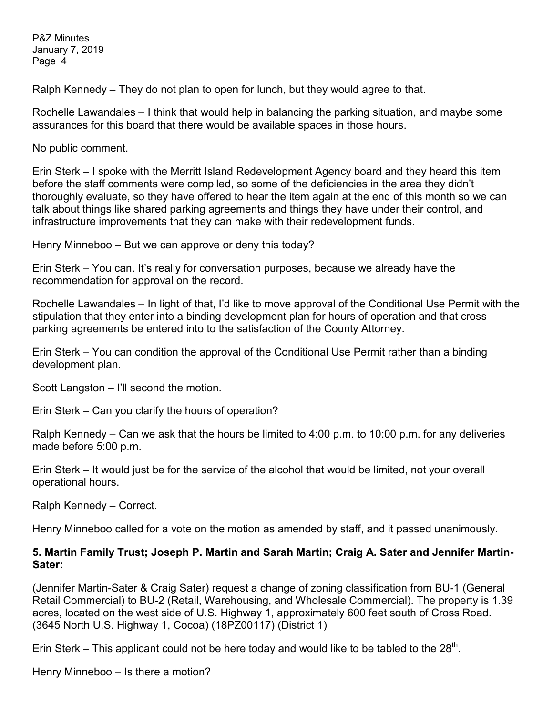Ralph Kennedy – They do not plan to open for lunch, but they would agree to that.

Rochelle Lawandales – I think that would help in balancing the parking situation, and maybe some assurances for this board that there would be available spaces in those hours.

No public comment.

Erin Sterk – I spoke with the Merritt Island Redevelopment Agency board and they heard this item before the staff comments were compiled, so some of the deficiencies in the area they didn't thoroughly evaluate, so they have offered to hear the item again at the end of this month so we can talk about things like shared parking agreements and things they have under their control, and infrastructure improvements that they can make with their redevelopment funds.

Henry Minneboo – But we can approve or deny this today?

Erin Sterk – You can. It's really for conversation purposes, because we already have the recommendation for approval on the record.

Rochelle Lawandales – In light of that, I'd like to move approval of the Conditional Use Permit with the stipulation that they enter into a binding development plan for hours of operation and that cross parking agreements be entered into to the satisfaction of the County Attorney.

Erin Sterk – You can condition the approval of the Conditional Use Permit rather than a binding development plan.

Scott Langston – I'll second the motion.

Erin Sterk – Can you clarify the hours of operation?

Ralph Kennedy – Can we ask that the hours be limited to 4:00 p.m. to 10:00 p.m. for any deliveries made before 5:00 p.m.

Erin Sterk – It would just be for the service of the alcohol that would be limited, not your overall operational hours.

Ralph Kennedy – Correct.

Henry Minneboo called for a vote on the motion as amended by staff, and it passed unanimously.

### **5. Martin Family Trust; Joseph P. Martin and Sarah Martin; Craig A. Sater and Jennifer Martin-Sater:**

(Jennifer Martin-Sater & Craig Sater) request a change of zoning classification from BU-1 (General Retail Commercial) to BU-2 (Retail, Warehousing, and Wholesale Commercial). The property is 1.39 acres, located on the west side of U.S. Highway 1, approximately 600 feet south of Cross Road. (3645 North U.S. Highway 1, Cocoa) (18PZ00117) (District 1)

Erin Sterk – This applicant could not be here today and would like to be tabled to the  $28<sup>th</sup>$ .

Henry Minneboo – Is there a motion?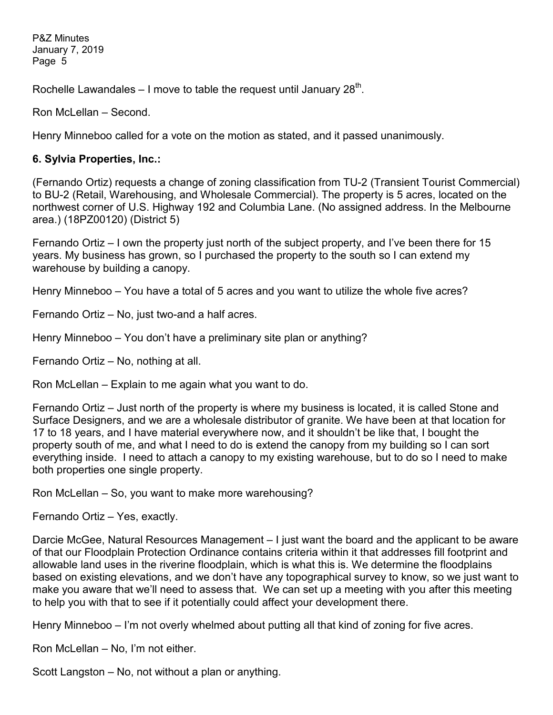Rochelle Lawandales – I move to table the request until January  $28<sup>th</sup>$ .

Ron McLellan – Second.

Henry Minneboo called for a vote on the motion as stated, and it passed unanimously.

#### **6. Sylvia Properties, Inc.:**

(Fernando Ortiz) requests a change of zoning classification from TU-2 (Transient Tourist Commercial) to BU-2 (Retail, Warehousing, and Wholesale Commercial). The property is 5 acres, located on the northwest corner of U.S. Highway 192 and Columbia Lane. (No assigned address. In the Melbourne area.) (18PZ00120) (District 5)

Fernando Ortiz – I own the property just north of the subject property, and I've been there for 15 years. My business has grown, so I purchased the property to the south so I can extend my warehouse by building a canopy.

Henry Minneboo – You have a total of 5 acres and you want to utilize the whole five acres?

Fernando Ortiz – No, just two-and a half acres.

Henry Minneboo – You don't have a preliminary site plan or anything?

Fernando Ortiz – No, nothing at all.

Ron McLellan – Explain to me again what you want to do.

Fernando Ortiz – Just north of the property is where my business is located, it is called Stone and Surface Designers, and we are a wholesale distributor of granite. We have been at that location for 17 to 18 years, and I have material everywhere now, and it shouldn't be like that, I bought the property south of me, and what I need to do is extend the canopy from my building so I can sort everything inside. I need to attach a canopy to my existing warehouse, but to do so I need to make both properties one single property.

Ron McLellan – So, you want to make more warehousing?

Fernando Ortiz – Yes, exactly.

Darcie McGee, Natural Resources Management – I just want the board and the applicant to be aware of that our Floodplain Protection Ordinance contains criteria within it that addresses fill footprint and allowable land uses in the riverine floodplain, which is what this is. We determine the floodplains based on existing elevations, and we don't have any topographical survey to know, so we just want to make you aware that we'll need to assess that. We can set up a meeting with you after this meeting to help you with that to see if it potentially could affect your development there.

Henry Minneboo – I'm not overly whelmed about putting all that kind of zoning for five acres.

Ron McLellan – No, I'm not either.

Scott Langston – No, not without a plan or anything.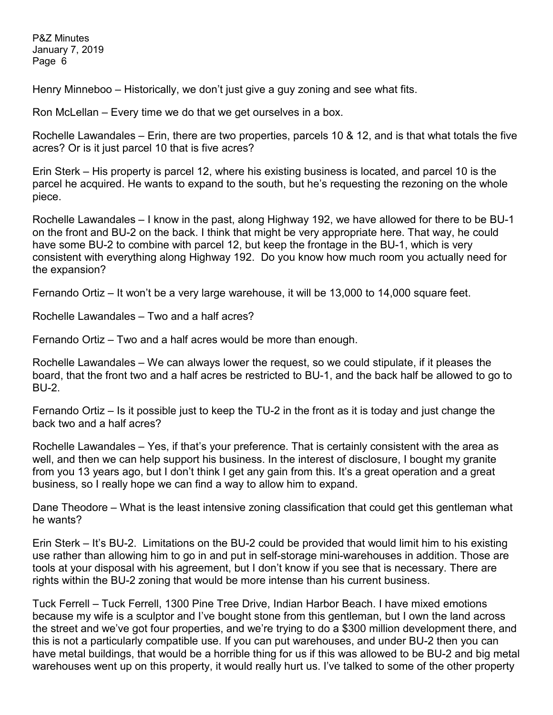Henry Minneboo – Historically, we don't just give a guy zoning and see what fits.

Ron McLellan – Every time we do that we get ourselves in a box.

Rochelle Lawandales – Erin, there are two properties, parcels 10 & 12, and is that what totals the five acres? Or is it just parcel 10 that is five acres?

Erin Sterk – His property is parcel 12, where his existing business is located, and parcel 10 is the parcel he acquired. He wants to expand to the south, but he's requesting the rezoning on the whole piece.

Rochelle Lawandales – I know in the past, along Highway 192, we have allowed for there to be BU-1 on the front and BU-2 on the back. I think that might be very appropriate here. That way, he could have some BU-2 to combine with parcel 12, but keep the frontage in the BU-1, which is very consistent with everything along Highway 192. Do you know how much room you actually need for the expansion?

Fernando Ortiz – It won't be a very large warehouse, it will be 13,000 to 14,000 square feet.

Rochelle Lawandales – Two and a half acres?

Fernando Ortiz – Two and a half acres would be more than enough.

Rochelle Lawandales – We can always lower the request, so we could stipulate, if it pleases the board, that the front two and a half acres be restricted to BU-1, and the back half be allowed to go to BU-2.

Fernando Ortiz – Is it possible just to keep the TU-2 in the front as it is today and just change the back two and a half acres?

Rochelle Lawandales – Yes, if that's your preference. That is certainly consistent with the area as well, and then we can help support his business. In the interest of disclosure, I bought my granite from you 13 years ago, but I don't think I get any gain from this. It's a great operation and a great business, so I really hope we can find a way to allow him to expand.

Dane Theodore – What is the least intensive zoning classification that could get this gentleman what he wants?

Erin Sterk – It's BU-2. Limitations on the BU-2 could be provided that would limit him to his existing use rather than allowing him to go in and put in self-storage mini-warehouses in addition. Those are tools at your disposal with his agreement, but I don't know if you see that is necessary. There are rights within the BU-2 zoning that would be more intense than his current business.

Tuck Ferrell – Tuck Ferrell, 1300 Pine Tree Drive, Indian Harbor Beach. I have mixed emotions because my wife is a sculptor and I've bought stone from this gentleman, but I own the land across the street and we've got four properties, and we're trying to do a \$300 million development there, and this is not a particularly compatible use. If you can put warehouses, and under BU-2 then you can have metal buildings, that would be a horrible thing for us if this was allowed to be BU-2 and big metal warehouses went up on this property, it would really hurt us. I've talked to some of the other property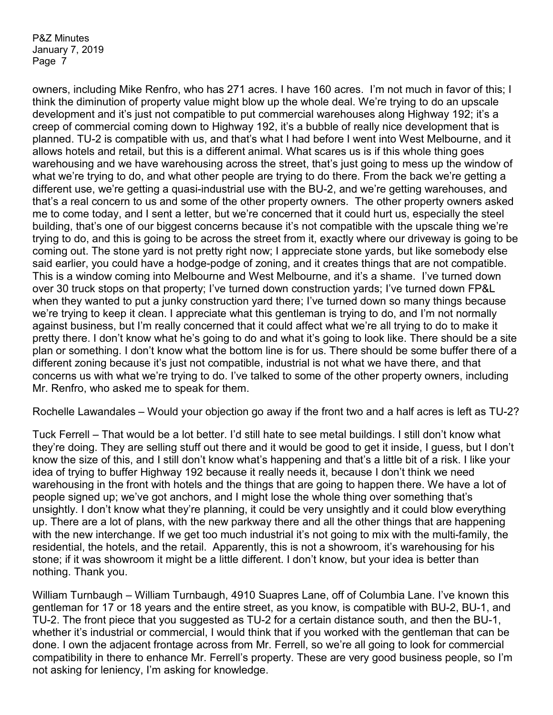owners, including Mike Renfro, who has 271 acres. I have 160 acres. I'm not much in favor of this; I think the diminution of property value might blow up the whole deal. We're trying to do an upscale development and it's just not compatible to put commercial warehouses along Highway 192; it's a creep of commercial coming down to Highway 192, it's a bubble of really nice development that is planned. TU-2 is compatible with us, and that's what I had before I went into West Melbourne, and it allows hotels and retail, but this is a different animal. What scares us is if this whole thing goes warehousing and we have warehousing across the street, that's just going to mess up the window of what we're trying to do, and what other people are trying to do there. From the back we're getting a different use, we're getting a quasi-industrial use with the BU-2, and we're getting warehouses, and that's a real concern to us and some of the other property owners. The other property owners asked me to come today, and I sent a letter, but we're concerned that it could hurt us, especially the steel building, that's one of our biggest concerns because it's not compatible with the upscale thing we're trying to do, and this is going to be across the street from it, exactly where our driveway is going to be coming out. The stone yard is not pretty right now; I appreciate stone yards, but like somebody else said earlier, you could have a hodge-podge of zoning, and it creates things that are not compatible. This is a window coming into Melbourne and West Melbourne, and it's a shame. I've turned down over 30 truck stops on that property; I've turned down construction yards; I've turned down FP&L when they wanted to put a junky construction yard there; I've turned down so many things because we're trying to keep it clean. I appreciate what this gentleman is trying to do, and I'm not normally against business, but I'm really concerned that it could affect what we're all trying to do to make it pretty there. I don't know what he's going to do and what it's going to look like. There should be a site plan or something. I don't know what the bottom line is for us. There should be some buffer there of a different zoning because it's just not compatible, industrial is not what we have there, and that concerns us with what we're trying to do. I've talked to some of the other property owners, including Mr. Renfro, who asked me to speak for them.

Rochelle Lawandales – Would your objection go away if the front two and a half acres is left as TU-2?

Tuck Ferrell – That would be a lot better. I'd still hate to see metal buildings. I still don't know what they're doing. They are selling stuff out there and it would be good to get it inside, I guess, but I don't know the size of this, and I still don't know what's happening and that's a little bit of a risk. I like your idea of trying to buffer Highway 192 because it really needs it, because I don't think we need warehousing in the front with hotels and the things that are going to happen there. We have a lot of people signed up; we've got anchors, and I might lose the whole thing over something that's unsightly. I don't know what they're planning, it could be very unsightly and it could blow everything up. There are a lot of plans, with the new parkway there and all the other things that are happening with the new interchange. If we get too much industrial it's not going to mix with the multi-family, the residential, the hotels, and the retail. Apparently, this is not a showroom, it's warehousing for his stone; if it was showroom it might be a little different. I don't know, but your idea is better than nothing. Thank you.

William Turnbaugh – William Turnbaugh, 4910 Suapres Lane, off of Columbia Lane. I've known this gentleman for 17 or 18 years and the entire street, as you know, is compatible with BU-2, BU-1, and TU-2. The front piece that you suggested as TU-2 for a certain distance south, and then the BU-1, whether it's industrial or commercial, I would think that if you worked with the gentleman that can be done. I own the adjacent frontage across from Mr. Ferrell, so we're all going to look for commercial compatibility in there to enhance Mr. Ferrell's property. These are very good business people, so I'm not asking for leniency, I'm asking for knowledge.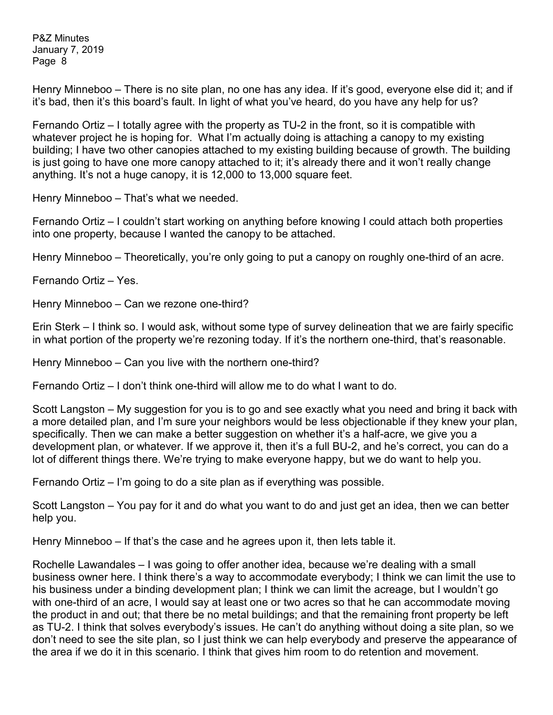Henry Minneboo – There is no site plan, no one has any idea. If it's good, everyone else did it; and if it's bad, then it's this board's fault. In light of what you've heard, do you have any help for us?

Fernando Ortiz – I totally agree with the property as TU-2 in the front, so it is compatible with whatever project he is hoping for. What I'm actually doing is attaching a canopy to my existing building; I have two other canopies attached to my existing building because of growth. The building is just going to have one more canopy attached to it; it's already there and it won't really change anything. It's not a huge canopy, it is 12,000 to 13,000 square feet.

Henry Minneboo – That's what we needed.

Fernando Ortiz – I couldn't start working on anything before knowing I could attach both properties into one property, because I wanted the canopy to be attached.

Henry Minneboo – Theoretically, you're only going to put a canopy on roughly one-third of an acre.

Fernando Ortiz – Yes.

Henry Minneboo – Can we rezone one-third?

Erin Sterk – I think so. I would ask, without some type of survey delineation that we are fairly specific in what portion of the property we're rezoning today. If it's the northern one-third, that's reasonable.

Henry Minneboo – Can you live with the northern one-third?

Fernando Ortiz – I don't think one-third will allow me to do what I want to do.

Scott Langston – My suggestion for you is to go and see exactly what you need and bring it back with a more detailed plan, and I'm sure your neighbors would be less objectionable if they knew your plan, specifically. Then we can make a better suggestion on whether it's a half-acre, we give you a development plan, or whatever. If we approve it, then it's a full BU-2, and he's correct, you can do a lot of different things there. We're trying to make everyone happy, but we do want to help you.

Fernando Ortiz – I'm going to do a site plan as if everything was possible.

Scott Langston – You pay for it and do what you want to do and just get an idea, then we can better help you.

Henry Minneboo – If that's the case and he agrees upon it, then lets table it.

Rochelle Lawandales – I was going to offer another idea, because we're dealing with a small business owner here. I think there's a way to accommodate everybody; I think we can limit the use to his business under a binding development plan; I think we can limit the acreage, but I wouldn't go with one-third of an acre, I would say at least one or two acres so that he can accommodate moving the product in and out; that there be no metal buildings; and that the remaining front property be left as TU-2. I think that solves everybody's issues. He can't do anything without doing a site plan, so we don't need to see the site plan, so I just think we can help everybody and preserve the appearance of the area if we do it in this scenario. I think that gives him room to do retention and movement.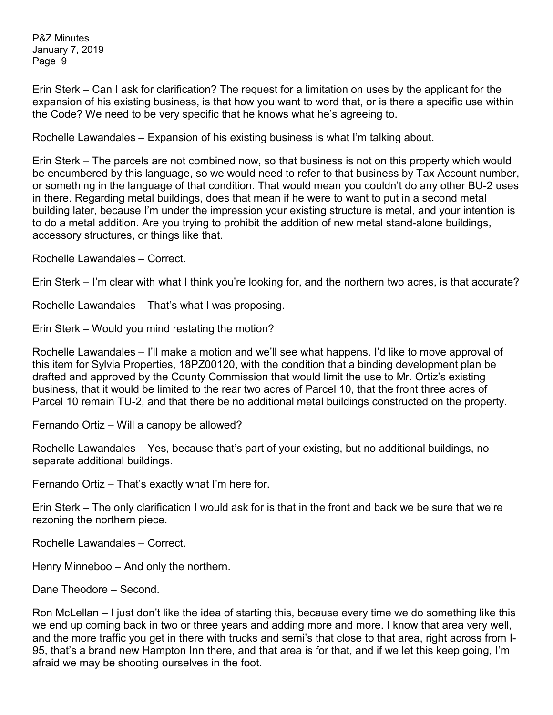Erin Sterk – Can I ask for clarification? The request for a limitation on uses by the applicant for the expansion of his existing business, is that how you want to word that, or is there a specific use within the Code? We need to be very specific that he knows what he's agreeing to.

Rochelle Lawandales – Expansion of his existing business is what I'm talking about.

Erin Sterk – The parcels are not combined now, so that business is not on this property which would be encumbered by this language, so we would need to refer to that business by Tax Account number, or something in the language of that condition. That would mean you couldn't do any other BU-2 uses in there. Regarding metal buildings, does that mean if he were to want to put in a second metal building later, because I'm under the impression your existing structure is metal, and your intention is to do a metal addition. Are you trying to prohibit the addition of new metal stand-alone buildings, accessory structures, or things like that.

Rochelle Lawandales – Correct.

Erin Sterk – I'm clear with what I think you're looking for, and the northern two acres, is that accurate?

Rochelle Lawandales – That's what I was proposing.

Erin Sterk – Would you mind restating the motion?

Rochelle Lawandales – I'll make a motion and we'll see what happens. I'd like to move approval of this item for Sylvia Properties, 18PZ00120, with the condition that a binding development plan be drafted and approved by the County Commission that would limit the use to Mr. Ortiz's existing business, that it would be limited to the rear two acres of Parcel 10, that the front three acres of Parcel 10 remain TU-2, and that there be no additional metal buildings constructed on the property.

Fernando Ortiz – Will a canopy be allowed?

Rochelle Lawandales – Yes, because that's part of your existing, but no additional buildings, no separate additional buildings.

Fernando Ortiz – That's exactly what I'm here for.

Erin Sterk – The only clarification I would ask for is that in the front and back we be sure that we're rezoning the northern piece.

Rochelle Lawandales – Correct.

Henry Minneboo – And only the northern.

Dane Theodore – Second.

Ron McLellan – I just don't like the idea of starting this, because every time we do something like this we end up coming back in two or three years and adding more and more. I know that area very well, and the more traffic you get in there with trucks and semi's that close to that area, right across from I-95, that's a brand new Hampton Inn there, and that area is for that, and if we let this keep going, I'm afraid we may be shooting ourselves in the foot.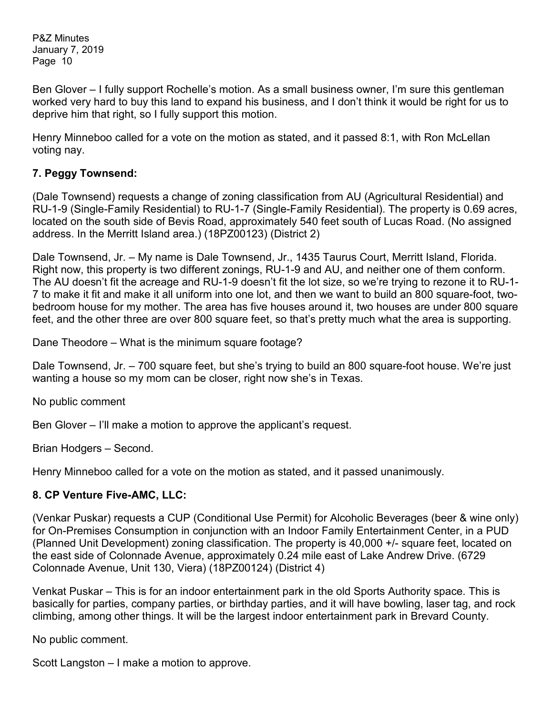Ben Glover – I fully support Rochelle's motion. As a small business owner, I'm sure this gentleman worked very hard to buy this land to expand his business, and I don't think it would be right for us to deprive him that right, so I fully support this motion.

Henry Minneboo called for a vote on the motion as stated, and it passed 8:1, with Ron McLellan voting nay.

## **7. Peggy Townsend:**

(Dale Townsend) requests a change of zoning classification from AU (Agricultural Residential) and RU-1-9 (Single-Family Residential) to RU-1-7 (Single-Family Residential). The property is 0.69 acres, located on the south side of Bevis Road, approximately 540 feet south of Lucas Road. (No assigned address. In the Merritt Island area.) (18PZ00123) (District 2)

Dale Townsend, Jr. – My name is Dale Townsend, Jr., 1435 Taurus Court, Merritt Island, Florida. Right now, this property is two different zonings, RU-1-9 and AU, and neither one of them conform. The AU doesn't fit the acreage and RU-1-9 doesn't fit the lot size, so we're trying to rezone it to RU-1- 7 to make it fit and make it all uniform into one lot, and then we want to build an 800 square-foot, twobedroom house for my mother. The area has five houses around it, two houses are under 800 square feet, and the other three are over 800 square feet, so that's pretty much what the area is supporting.

Dane Theodore – What is the minimum square footage?

Dale Townsend, Jr. – 700 square feet, but she's trying to build an 800 square-foot house. We're just wanting a house so my mom can be closer, right now she's in Texas.

No public comment

Ben Glover – I'll make a motion to approve the applicant's request.

Brian Hodgers – Second.

Henry Minneboo called for a vote on the motion as stated, and it passed unanimously.

#### **8. CP Venture Five-AMC, LLC:**

(Venkar Puskar) requests a CUP (Conditional Use Permit) for Alcoholic Beverages (beer & wine only) for On-Premises Consumption in conjunction with an Indoor Family Entertainment Center, in a PUD (Planned Unit Development) zoning classification. The property is 40,000 +/- square feet, located on the east side of Colonnade Avenue, approximately 0.24 mile east of Lake Andrew Drive. (6729 Colonnade Avenue, Unit 130, Viera) (18PZ00124) (District 4)

Venkat Puskar – This is for an indoor entertainment park in the old Sports Authority space. This is basically for parties, company parties, or birthday parties, and it will have bowling, laser tag, and rock climbing, among other things. It will be the largest indoor entertainment park in Brevard County.

No public comment.

Scott Langston – I make a motion to approve.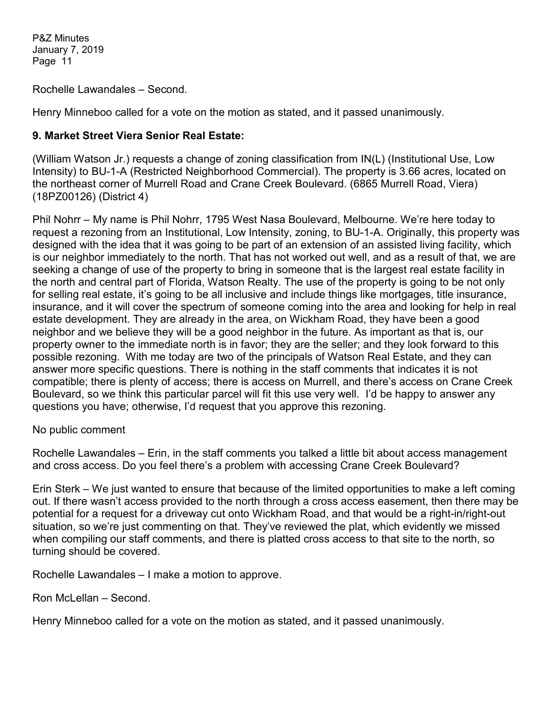Rochelle Lawandales – Second.

Henry Minneboo called for a vote on the motion as stated, and it passed unanimously.

## **9. Market Street Viera Senior Real Estate:**

(William Watson Jr.) requests a change of zoning classification from IN(L) (Institutional Use, Low Intensity) to BU-1-A (Restricted Neighborhood Commercial). The property is 3.66 acres, located on the northeast corner of Murrell Road and Crane Creek Boulevard. (6865 Murrell Road, Viera) (18PZ00126) (District 4)

Phil Nohrr – My name is Phil Nohrr, 1795 West Nasa Boulevard, Melbourne. We're here today to request a rezoning from an Institutional, Low Intensity, zoning, to BU-1-A. Originally, this property was designed with the idea that it was going to be part of an extension of an assisted living facility, which is our neighbor immediately to the north. That has not worked out well, and as a result of that, we are seeking a change of use of the property to bring in someone that is the largest real estate facility in the north and central part of Florida, Watson Realty. The use of the property is going to be not only for selling real estate, it's going to be all inclusive and include things like mortgages, title insurance, insurance, and it will cover the spectrum of someone coming into the area and looking for help in real estate development. They are already in the area, on Wickham Road, they have been a good neighbor and we believe they will be a good neighbor in the future. As important as that is, our property owner to the immediate north is in favor; they are the seller; and they look forward to this possible rezoning. With me today are two of the principals of Watson Real Estate, and they can answer more specific questions. There is nothing in the staff comments that indicates it is not compatible; there is plenty of access; there is access on Murrell, and there's access on Crane Creek Boulevard, so we think this particular parcel will fit this use very well. I'd be happy to answer any questions you have; otherwise, I'd request that you approve this rezoning.

No public comment

Rochelle Lawandales – Erin, in the staff comments you talked a little bit about access management and cross access. Do you feel there's a problem with accessing Crane Creek Boulevard?

Erin Sterk – We just wanted to ensure that because of the limited opportunities to make a left coming out. If there wasn't access provided to the north through a cross access easement, then there may be potential for a request for a driveway cut onto Wickham Road, and that would be a right-in/right-out situation, so we're just commenting on that. They've reviewed the plat, which evidently we missed when compiling our staff comments, and there is platted cross access to that site to the north, so turning should be covered.

Rochelle Lawandales – I make a motion to approve.

Ron McLellan – Second.

Henry Minneboo called for a vote on the motion as stated, and it passed unanimously.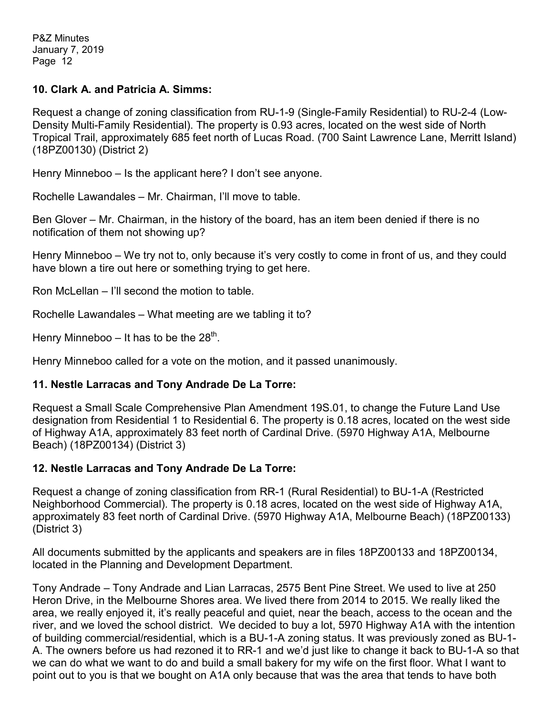#### **10. Clark A. and Patricia A. Simms:**

Request a change of zoning classification from RU-1-9 (Single-Family Residential) to RU-2-4 (Low-Density Multi-Family Residential). The property is 0.93 acres, located on the west side of North Tropical Trail, approximately 685 feet north of Lucas Road. (700 Saint Lawrence Lane, Merritt Island) (18PZ00130) (District 2)

Henry Minneboo – Is the applicant here? I don't see anyone.

Rochelle Lawandales – Mr. Chairman, I'll move to table.

Ben Glover – Mr. Chairman, in the history of the board, has an item been denied if there is no notification of them not showing up?

Henry Minneboo – We try not to, only because it's very costly to come in front of us, and they could have blown a tire out here or something trying to get here.

Ron McLellan – I'll second the motion to table.

Rochelle Lawandales – What meeting are we tabling it to?

Henry Minneboo – It has to be the  $28<sup>th</sup>$ .

Henry Minneboo called for a vote on the motion, and it passed unanimously.

## **11. Nestle Larracas and Tony Andrade De La Torre:**

Request a Small Scale Comprehensive Plan Amendment 19S.01, to change the Future Land Use designation from Residential 1 to Residential 6. The property is 0.18 acres, located on the west side of Highway A1A, approximately 83 feet north of Cardinal Drive. (5970 Highway A1A, Melbourne Beach) (18PZ00134) (District 3)

## **12. Nestle Larracas and Tony Andrade De La Torre:**

Request a change of zoning classification from RR-1 (Rural Residential) to BU-1-A (Restricted Neighborhood Commercial). The property is 0.18 acres, located on the west side of Highway A1A, approximately 83 feet north of Cardinal Drive. (5970 Highway A1A, Melbourne Beach) (18PZ00133) (District 3)

All documents submitted by the applicants and speakers are in files 18PZ00133 and 18PZ00134, located in the Planning and Development Department.

Tony Andrade – Tony Andrade and Lian Larracas, 2575 Bent Pine Street. We used to live at 250 Heron Drive, in the Melbourne Shores area. We lived there from 2014 to 2015. We really liked the area, we really enjoyed it, it's really peaceful and quiet, near the beach, access to the ocean and the river, and we loved the school district. We decided to buy a lot, 5970 Highway A1A with the intention of building commercial/residential, which is a BU-1-A zoning status. It was previously zoned as BU-1- A. The owners before us had rezoned it to RR-1 and we'd just like to change it back to BU-1-A so that we can do what we want to do and build a small bakery for my wife on the first floor. What I want to point out to you is that we bought on A1A only because that was the area that tends to have both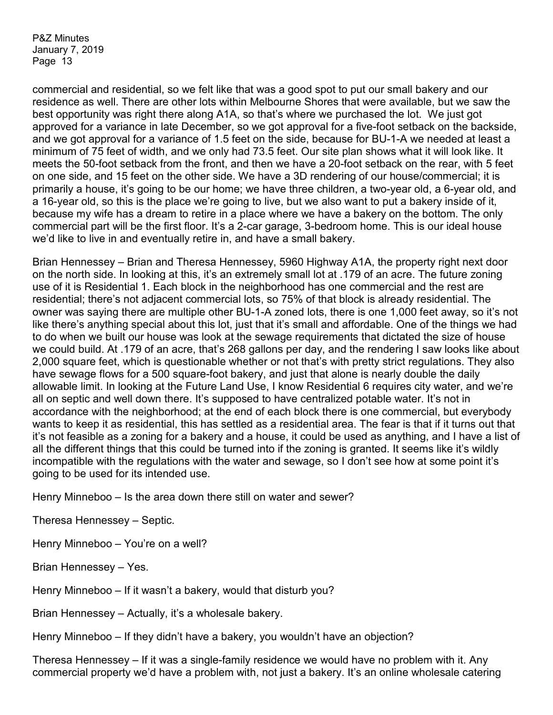commercial and residential, so we felt like that was a good spot to put our small bakery and our residence as well. There are other lots within Melbourne Shores that were available, but we saw the best opportunity was right there along A1A, so that's where we purchased the lot. We just got approved for a variance in late December, so we got approval for a five-foot setback on the backside, and we got approval for a variance of 1.5 feet on the side, because for BU-1-A we needed at least a minimum of 75 feet of width, and we only had 73.5 feet. Our site plan shows what it will look like. It meets the 50-foot setback from the front, and then we have a 20-foot setback on the rear, with 5 feet on one side, and 15 feet on the other side. We have a 3D rendering of our house/commercial; it is primarily a house, it's going to be our home; we have three children, a two-year old, a 6-year old, and a 16-year old, so this is the place we're going to live, but we also want to put a bakery inside of it, because my wife has a dream to retire in a place where we have a bakery on the bottom. The only commercial part will be the first floor. It's a 2-car garage, 3-bedroom home. This is our ideal house we'd like to live in and eventually retire in, and have a small bakery.

Brian Hennessey – Brian and Theresa Hennessey, 5960 Highway A1A, the property right next door on the north side. In looking at this, it's an extremely small lot at .179 of an acre. The future zoning use of it is Residential 1. Each block in the neighborhood has one commercial and the rest are residential; there's not adjacent commercial lots, so 75% of that block is already residential. The owner was saying there are multiple other BU-1-A zoned lots, there is one 1,000 feet away, so it's not like there's anything special about this lot, just that it's small and affordable. One of the things we had to do when we built our house was look at the sewage requirements that dictated the size of house we could build. At .179 of an acre, that's 268 gallons per day, and the rendering I saw looks like about 2,000 square feet, which is questionable whether or not that's with pretty strict regulations. They also have sewage flows for a 500 square-foot bakery, and just that alone is nearly double the daily allowable limit. In looking at the Future Land Use, I know Residential 6 requires city water, and we're all on septic and well down there. It's supposed to have centralized potable water. It's not in accordance with the neighborhood; at the end of each block there is one commercial, but everybody wants to keep it as residential, this has settled as a residential area. The fear is that if it turns out that it's not feasible as a zoning for a bakery and a house, it could be used as anything, and I have a list of all the different things that this could be turned into if the zoning is granted. It seems like it's wildly incompatible with the regulations with the water and sewage, so I don't see how at some point it's going to be used for its intended use.

Henry Minneboo – Is the area down there still on water and sewer?

Theresa Hennessey – Septic.

Henry Minneboo – You're on a well?

Brian Hennessey – Yes.

Henry Minneboo – If it wasn't a bakery, would that disturb you?

Brian Hennessey – Actually, it's a wholesale bakery.

Henry Minneboo – If they didn't have a bakery, you wouldn't have an objection?

Theresa Hennessey – If it was a single-family residence we would have no problem with it. Any commercial property we'd have a problem with, not just a bakery. It's an online wholesale catering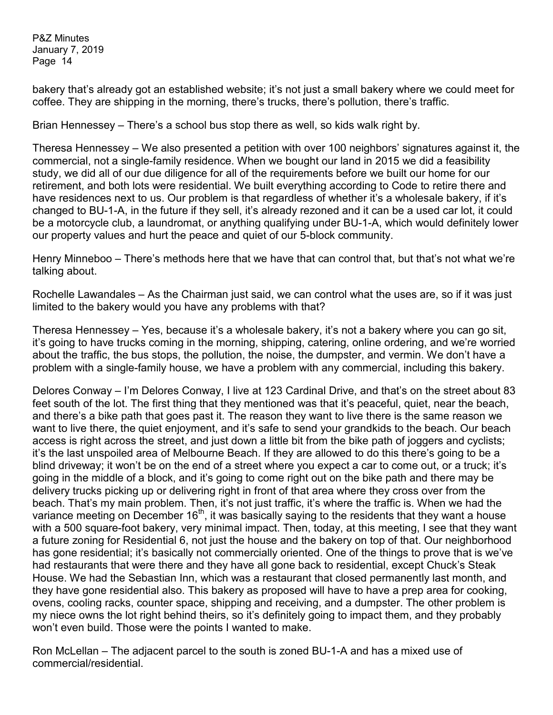bakery that's already got an established website; it's not just a small bakery where we could meet for coffee. They are shipping in the morning, there's trucks, there's pollution, there's traffic.

Brian Hennessey – There's a school bus stop there as well, so kids walk right by.

Theresa Hennessey – We also presented a petition with over 100 neighbors' signatures against it, the commercial, not a single-family residence. When we bought our land in 2015 we did a feasibility study, we did all of our due diligence for all of the requirements before we built our home for our retirement, and both lots were residential. We built everything according to Code to retire there and have residences next to us. Our problem is that regardless of whether it's a wholesale bakery, if it's changed to BU-1-A, in the future if they sell, it's already rezoned and it can be a used car lot, it could be a motorcycle club, a laundromat, or anything qualifying under BU-1-A, which would definitely lower our property values and hurt the peace and quiet of our 5-block community.

Henry Minneboo – There's methods here that we have that can control that, but that's not what we're talking about.

Rochelle Lawandales – As the Chairman just said, we can control what the uses are, so if it was just limited to the bakery would you have any problems with that?

Theresa Hennessey – Yes, because it's a wholesale bakery, it's not a bakery where you can go sit, it's going to have trucks coming in the morning, shipping, catering, online ordering, and we're worried about the traffic, the bus stops, the pollution, the noise, the dumpster, and vermin. We don't have a problem with a single-family house, we have a problem with any commercial, including this bakery.

Delores Conway – I'm Delores Conway, I live at 123 Cardinal Drive, and that's on the street about 83 feet south of the lot. The first thing that they mentioned was that it's peaceful, quiet, near the beach, and there's a bike path that goes past it. The reason they want to live there is the same reason we want to live there, the quiet enjoyment, and it's safe to send your grandkids to the beach. Our beach access is right across the street, and just down a little bit from the bike path of joggers and cyclists; it's the last unspoiled area of Melbourne Beach. If they are allowed to do this there's going to be a blind driveway; it won't be on the end of a street where you expect a car to come out, or a truck; it's going in the middle of a block, and it's going to come right out on the bike path and there may be delivery trucks picking up or delivering right in front of that area where they cross over from the beach. That's my main problem. Then, it's not just traffic, it's where the traffic is. When we had the variance meeting on December  $16<sup>th</sup>$ , it was basically saying to the residents that they want a house with a 500 square-foot bakery, very minimal impact. Then, today, at this meeting, I see that they want a future zoning for Residential 6, not just the house and the bakery on top of that. Our neighborhood has gone residential; it's basically not commercially oriented. One of the things to prove that is we've had restaurants that were there and they have all gone back to residential, except Chuck's Steak House. We had the Sebastian Inn, which was a restaurant that closed permanently last month, and they have gone residential also. This bakery as proposed will have to have a prep area for cooking, ovens, cooling racks, counter space, shipping and receiving, and a dumpster. The other problem is my niece owns the lot right behind theirs, so it's definitely going to impact them, and they probably won't even build. Those were the points I wanted to make.

Ron McLellan – The adjacent parcel to the south is zoned BU-1-A and has a mixed use of commercial/residential.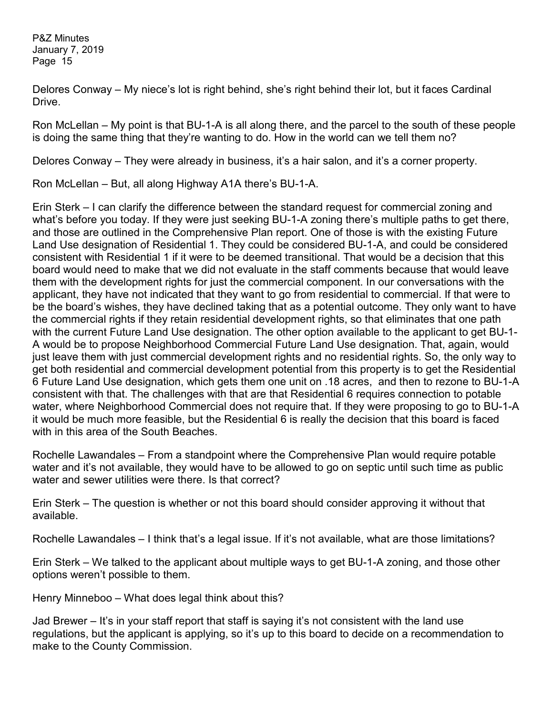Delores Conway – My niece's lot is right behind, she's right behind their lot, but it faces Cardinal Drive.

Ron McLellan – My point is that BU-1-A is all along there, and the parcel to the south of these people is doing the same thing that they're wanting to do. How in the world can we tell them no?

Delores Conway – They were already in business, it's a hair salon, and it's a corner property.

Ron McLellan – But, all along Highway A1A there's BU-1-A.

Erin Sterk – I can clarify the difference between the standard request for commercial zoning and what's before you today. If they were just seeking BU-1-A zoning there's multiple paths to get there, and those are outlined in the Comprehensive Plan report. One of those is with the existing Future Land Use designation of Residential 1. They could be considered BU-1-A, and could be considered consistent with Residential 1 if it were to be deemed transitional. That would be a decision that this board would need to make that we did not evaluate in the staff comments because that would leave them with the development rights for just the commercial component. In our conversations with the applicant, they have not indicated that they want to go from residential to commercial. If that were to be the board's wishes, they have declined taking that as a potential outcome. They only want to have the commercial rights if they retain residential development rights, so that eliminates that one path with the current Future Land Use designation. The other option available to the applicant to get BU-1- A would be to propose Neighborhood Commercial Future Land Use designation. That, again, would just leave them with just commercial development rights and no residential rights. So, the only way to get both residential and commercial development potential from this property is to get the Residential 6 Future Land Use designation, which gets them one unit on .18 acres, and then to rezone to BU-1-A consistent with that. The challenges with that are that Residential 6 requires connection to potable water, where Neighborhood Commercial does not require that. If they were proposing to go to BU-1-A it would be much more feasible, but the Residential 6 is really the decision that this board is faced with in this area of the South Beaches.

Rochelle Lawandales – From a standpoint where the Comprehensive Plan would require potable water and it's not available, they would have to be allowed to go on septic until such time as public water and sewer utilities were there. Is that correct?

Erin Sterk – The question is whether or not this board should consider approving it without that available.

Rochelle Lawandales – I think that's a legal issue. If it's not available, what are those limitations?

Erin Sterk – We talked to the applicant about multiple ways to get BU-1-A zoning, and those other options weren't possible to them.

Henry Minneboo – What does legal think about this?

Jad Brewer – It's in your staff report that staff is saying it's not consistent with the land use regulations, but the applicant is applying, so it's up to this board to decide on a recommendation to make to the County Commission.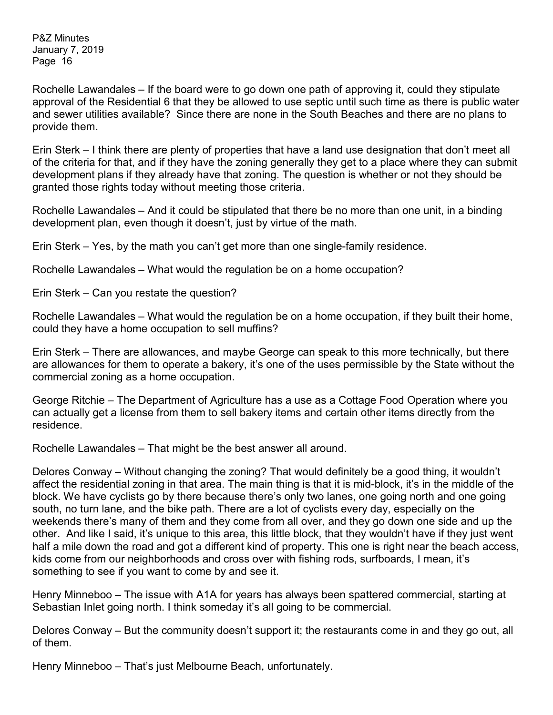Rochelle Lawandales – If the board were to go down one path of approving it, could they stipulate approval of the Residential 6 that they be allowed to use septic until such time as there is public water and sewer utilities available? Since there are none in the South Beaches and there are no plans to provide them.

Erin Sterk – I think there are plenty of properties that have a land use designation that don't meet all of the criteria for that, and if they have the zoning generally they get to a place where they can submit development plans if they already have that zoning. The question is whether or not they should be granted those rights today without meeting those criteria.

Rochelle Lawandales – And it could be stipulated that there be no more than one unit, in a binding development plan, even though it doesn't, just by virtue of the math.

Erin Sterk – Yes, by the math you can't get more than one single-family residence.

Rochelle Lawandales – What would the regulation be on a home occupation?

Erin Sterk – Can you restate the question?

Rochelle Lawandales – What would the regulation be on a home occupation, if they built their home, could they have a home occupation to sell muffins?

Erin Sterk – There are allowances, and maybe George can speak to this more technically, but there are allowances for them to operate a bakery, it's one of the uses permissible by the State without the commercial zoning as a home occupation.

George Ritchie – The Department of Agriculture has a use as a Cottage Food Operation where you can actually get a license from them to sell bakery items and certain other items directly from the residence.

Rochelle Lawandales – That might be the best answer all around.

Delores Conway – Without changing the zoning? That would definitely be a good thing, it wouldn't affect the residential zoning in that area. The main thing is that it is mid-block, it's in the middle of the block. We have cyclists go by there because there's only two lanes, one going north and one going south, no turn lane, and the bike path. There are a lot of cyclists every day, especially on the weekends there's many of them and they come from all over, and they go down one side and up the other. And like I said, it's unique to this area, this little block, that they wouldn't have if they just went half a mile down the road and got a different kind of property. This one is right near the beach access, kids come from our neighborhoods and cross over with fishing rods, surfboards, I mean, it's something to see if you want to come by and see it.

Henry Minneboo – The issue with A1A for years has always been spattered commercial, starting at Sebastian Inlet going north. I think someday it's all going to be commercial.

Delores Conway – But the community doesn't support it; the restaurants come in and they go out, all of them.

Henry Minneboo – That's just Melbourne Beach, unfortunately.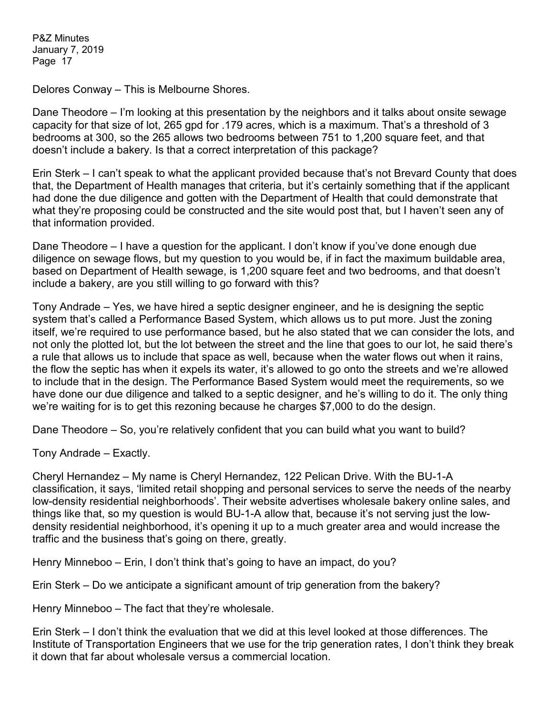Delores Conway – This is Melbourne Shores.

Dane Theodore – I'm looking at this presentation by the neighbors and it talks about onsite sewage capacity for that size of lot, 265 gpd for .179 acres, which is a maximum. That's a threshold of 3 bedrooms at 300, so the 265 allows two bedrooms between 751 to 1,200 square feet, and that doesn't include a bakery. Is that a correct interpretation of this package?

Erin Sterk – I can't speak to what the applicant provided because that's not Brevard County that does that, the Department of Health manages that criteria, but it's certainly something that if the applicant had done the due diligence and gotten with the Department of Health that could demonstrate that what they're proposing could be constructed and the site would post that, but I haven't seen any of that information provided.

Dane Theodore – I have a question for the applicant. I don't know if you've done enough due diligence on sewage flows, but my question to you would be, if in fact the maximum buildable area, based on Department of Health sewage, is 1,200 square feet and two bedrooms, and that doesn't include a bakery, are you still willing to go forward with this?

Tony Andrade – Yes, we have hired a septic designer engineer, and he is designing the septic system that's called a Performance Based System, which allows us to put more. Just the zoning itself, we're required to use performance based, but he also stated that we can consider the lots, and not only the plotted lot, but the lot between the street and the line that goes to our lot, he said there's a rule that allows us to include that space as well, because when the water flows out when it rains, the flow the septic has when it expels its water, it's allowed to go onto the streets and we're allowed to include that in the design. The Performance Based System would meet the requirements, so we have done our due diligence and talked to a septic designer, and he's willing to do it. The only thing we're waiting for is to get this rezoning because he charges \$7,000 to do the design.

Dane Theodore – So, you're relatively confident that you can build what you want to build?

Tony Andrade – Exactly.

Cheryl Hernandez – My name is Cheryl Hernandez, 122 Pelican Drive. With the BU-1-A classification, it says, 'limited retail shopping and personal services to serve the needs of the nearby low-density residential neighborhoods'. Their website advertises wholesale bakery online sales, and things like that, so my question is would BU-1-A allow that, because it's not serving just the lowdensity residential neighborhood, it's opening it up to a much greater area and would increase the traffic and the business that's going on there, greatly.

Henry Minneboo – Erin, I don't think that's going to have an impact, do you?

Erin Sterk – Do we anticipate a significant amount of trip generation from the bakery?

Henry Minneboo – The fact that they're wholesale.

Erin Sterk – I don't think the evaluation that we did at this level looked at those differences. The Institute of Transportation Engineers that we use for the trip generation rates, I don't think they break it down that far about wholesale versus a commercial location.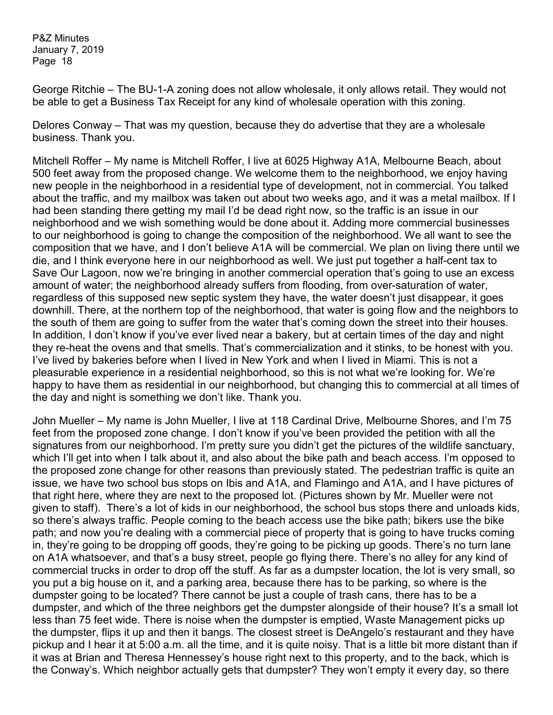George Ritchie – The BU-1-A zoning does not allow wholesale, it only allows retail. They would not be able to get a Business Tax Receipt for any kind of wholesale operation with this zoning.

Delores Conway – That was my question, because they do advertise that they are a wholesale business. Thank you.

Mitchell Roffer – My name is Mitchell Roffer, I live at 6025 Highway A1A, Melbourne Beach, about 500 feet away from the proposed change. We welcome them to the neighborhood, we enjoy having new people in the neighborhood in a residential type of development, not in commercial. You talked about the traffic, and my mailbox was taken out about two weeks ago, and it was a metal mailbox. If I had been standing there getting my mail I'd be dead right now, so the traffic is an issue in our neighborhood and we wish something would be done about it. Adding more commercial businesses to our neighborhood is going to change the composition of the neighborhood. We all want to see the composition that we have, and I don't believe A1A will be commercial. We plan on living there until we die, and I think everyone here in our neighborhood as well. We just put together a half-cent tax to Save Our Lagoon, now we're bringing in another commercial operation that's going to use an excess amount of water; the neighborhood already suffers from flooding, from over-saturation of water, regardless of this supposed new septic system they have, the water doesn't just disappear, it goes downhill. There, at the northern top of the neighborhood, that water is going flow and the neighbors to the south of them are going to suffer from the water that's coming down the street into their houses. In addition, I don't know if you've ever lived near a bakery, but at certain times of the day and night they re-heat the ovens and that smells. That's commercialization and it stinks, to be honest with you. I've lived by bakeries before when I lived in New York and when I lived in Miami. This is not a pleasurable experience in a residential neighborhood, so this is not what we're looking for. We're happy to have them as residential in our neighborhood, but changing this to commercial at all times of the day and night is something we don't like. Thank you.

John Mueller – My name is John Mueller, I live at 118 Cardinal Drive, Melbourne Shores, and I'm 75 feet from the proposed zone change. I don't know if you've been provided the petition with all the signatures from our neighborhood. I'm pretty sure you didn't get the pictures of the wildlife sanctuary, which I'll get into when I talk about it, and also about the bike path and beach access. I'm opposed to the proposed zone change for other reasons than previously stated. The pedestrian traffic is quite an issue, we have two school bus stops on Ibis and A1A, and Flamingo and A1A, and I have pictures of that right here, where they are next to the proposed lot. (Pictures shown by Mr. Mueller were not given to staff). There's a lot of kids in our neighborhood, the school bus stops there and unloads kids, so there's always traffic. People coming to the beach access use the bike path; bikers use the bike path; and now you're dealing with a commercial piece of property that is going to have trucks coming in, they're going to be dropping off goods, they're going to be picking up goods. There's no turn lane on A1A whatsoever, and that's a busy street, people go flying there. There's no alley for any kind of commercial trucks in order to drop off the stuff. As far as a dumpster location, the lot is very small, so you put a big house on it, and a parking area, because there has to be parking, so where is the dumpster going to be located? There cannot be just a couple of trash cans, there has to be a dumpster, and which of the three neighbors get the dumpster alongside of their house? It's a small lot less than 75 feet wide. There is noise when the dumpster is emptied, Waste Management picks up the dumpster, flips it up and then it bangs. The closest street is DeAngelo's restaurant and they have pickup and I hear it at 5:00 a.m. all the time, and it is quite noisy. That is a little bit more distant than if it was at Brian and Theresa Hennessey's house right next to this property, and to the back, which is the Conway's. Which neighbor actually gets that dumpster? They won't empty it every day, so there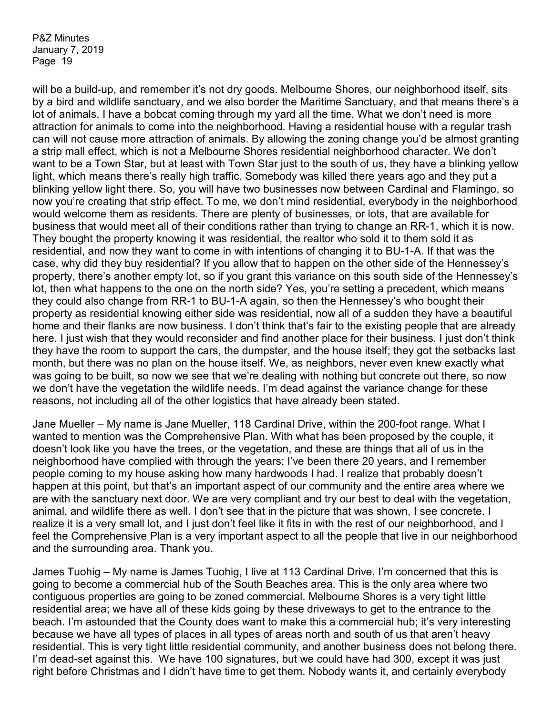will be a build-up, and remember it's not dry goods. Melbourne Shores, our neighborhood itself, sits by a bird and wildlife sanctuary, and we also border the Maritime Sanctuary, and that means there's a lot of animals. I have a bobcat coming through my yard all the time. What we don't need is more attraction for animals to come into the neighborhood. Having a residential house with a regular trash can will not cause more attraction of animals. By allowing the zoning change you'd be almost granting a strip mall effect, which is not a Melbourne Shores residential neighborhood character. We don't want to be a Town Star, but at least with Town Star just to the south of us, they have a blinking yellow light, which means there's really high traffic. Somebody was killed there years ago and they put a blinking yellow light there. So, you will have two businesses now between Cardinal and Flamingo, so now you're creating that strip effect. To me, we don't mind residential, everybody in the neighborhood would welcome them as residents. There are plenty of businesses, or lots, that are available for business that would meet all of their conditions rather than trying to change an RR-1, which it is now. They bought the property knowing it was residential, the realtor who sold it to them sold it as residential, and now they want to come in with intentions of changing it to BU-1-A. If that was the case, why did they buy residential? If you allow that to happen on the other side of the Hennessey's property, there's another empty lot, so if you grant this variance on this south side of the Hennessey's lot, then what happens to the one on the north side? Yes, you're setting a precedent, which means they could also change from RR-1 to BU-1-A again, so then the Hennessey's who bought their property as residential knowing either side was residential, now all of a sudden they have a beautiful home and their flanks are now business. I don't think that's fair to the existing people that are already here. I just wish that they would reconsider and find another place for their business. I just don't think they have the room to support the cars, the dumpster, and the house itself; they got the setbacks last month, but there was no plan on the house itself. We, as neighbors, never even knew exactly what was going to be built, so now we see that we're dealing with nothing but concrete out there, so now we don't have the vegetation the wildlife needs. I'm dead against the variance change for these reasons, not including all of the other logistics that have already been stated.

Jane Mueller – My name is Jane Mueller, 118 Cardinal Drive, within the 200-foot range. What I wanted to mention was the Comprehensive Plan. With what has been proposed by the couple, it doesn't look like you have the trees, or the vegetation, and these are things that all of us in the neighborhood have complied with through the years; I've been there 20 years, and I remember people coming to my house asking how many hardwoods I had. I realize that probably doesn't happen at this point, but that's an important aspect of our community and the entire area where we are with the sanctuary next door. We are very compliant and try our best to deal with the vegetation, animal, and wildlife there as well. I don't see that in the picture that was shown, I see concrete. I realize it is a very small lot, and I just don't feel like it fits in with the rest of our neighborhood, and I feel the Comprehensive Plan is a very important aspect to all the people that live in our neighborhood and the surrounding area. Thank you.

James Tuohig – My name is James Tuohig, I live at 113 Cardinal Drive. I'm concerned that this is going to become a commercial hub of the South Beaches area. This is the only area where two contiguous properties are going to be zoned commercial. Melbourne Shores is a very tight little residential area; we have all of these kids going by these driveways to get to the entrance to the beach. I'm astounded that the County does want to make this a commercial hub; it's very interesting because we have all types of places in all types of areas north and south of us that aren't heavy residential. This is very tight little residential community, and another business does not belong there. I'm dead-set against this. We have 100 signatures, but we could have had 300, except it was just right before Christmas and I didn't have time to get them. Nobody wants it, and certainly everybody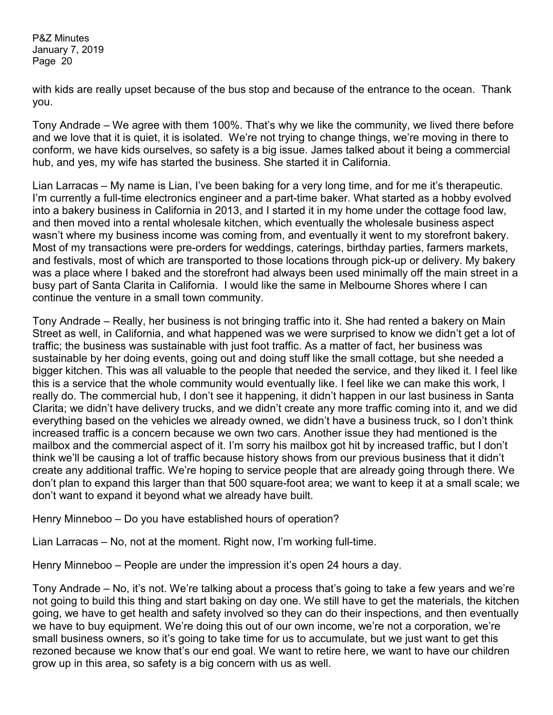with kids are really upset because of the bus stop and because of the entrance to the ocean. Thank you.

Tony Andrade – We agree with them 100%. That's why we like the community, we lived there before and we love that it is quiet, it is isolated. We're not trying to change things, we're moving in there to conform, we have kids ourselves, so safety is a big issue. James talked about it being a commercial hub, and yes, my wife has started the business. She started it in California.

Lian Larracas – My name is Lian, I've been baking for a very long time, and for me it's therapeutic. I'm currently a full-time electronics engineer and a part-time baker. What started as a hobby evolved into a bakery business in California in 2013, and I started it in my home under the cottage food law, and then moved into a rental wholesale kitchen, which eventually the wholesale business aspect wasn't where my business income was coming from, and eventually it went to my storefront bakery. Most of my transactions were pre-orders for weddings, caterings, birthday parties, farmers markets, and festivals, most of which are transported to those locations through pick-up or delivery. My bakery was a place where I baked and the storefront had always been used minimally off the main street in a busy part of Santa Clarita in California. I would like the same in Melbourne Shores where I can continue the venture in a small town community.

Tony Andrade – Really, her business is not bringing traffic into it. She had rented a bakery on Main Street as well, in California, and what happened was we were surprised to know we didn't get a lot of traffic; the business was sustainable with just foot traffic. As a matter of fact, her business was sustainable by her doing events, going out and doing stuff like the small cottage, but she needed a bigger kitchen. This was all valuable to the people that needed the service, and they liked it. I feel like this is a service that the whole community would eventually like. I feel like we can make this work, I really do. The commercial hub, I don't see it happening, it didn't happen in our last business in Santa Clarita; we didn't have delivery trucks, and we didn't create any more traffic coming into it, and we did everything based on the vehicles we already owned, we didn't have a business truck, so I don't think increased traffic is a concern because we own two cars. Another issue they had mentioned is the mailbox and the commercial aspect of it. I'm sorry his mailbox got hit by increased traffic, but I don't think we'll be causing a lot of traffic because history shows from our previous business that it didn't create any additional traffic. We're hoping to service people that are already going through there. We don't plan to expand this larger than that 500 square-foot area; we want to keep it at a small scale; we don't want to expand it beyond what we already have built.

Henry Minneboo – Do you have established hours of operation?

Lian Larracas – No, not at the moment. Right now, I'm working full-time.

Henry Minneboo – People are under the impression it's open 24 hours a day.

Tony Andrade – No, it's not. We're talking about a process that's going to take a few years and we're not going to build this thing and start baking on day one. We still have to get the materials, the kitchen going, we have to get health and safety involved so they can do their inspections, and then eventually we have to buy equipment. We're doing this out of our own income, we're not a corporation, we're small business owners, so it's going to take time for us to accumulate, but we just want to get this rezoned because we know that's our end goal. We want to retire here, we want to have our children grow up in this area, so safety is a big concern with us as well.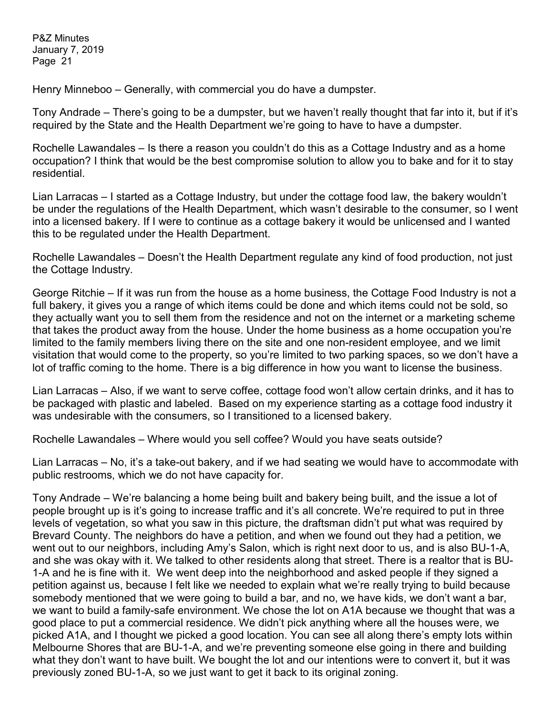Henry Minneboo – Generally, with commercial you do have a dumpster.

Tony Andrade – There's going to be a dumpster, but we haven't really thought that far into it, but if it's required by the State and the Health Department we're going to have to have a dumpster.

Rochelle Lawandales – Is there a reason you couldn't do this as a Cottage Industry and as a home occupation? I think that would be the best compromise solution to allow you to bake and for it to stay residential.

Lian Larracas – I started as a Cottage Industry, but under the cottage food law, the bakery wouldn't be under the regulations of the Health Department, which wasn't desirable to the consumer, so I went into a licensed bakery. If I were to continue as a cottage bakery it would be unlicensed and I wanted this to be regulated under the Health Department.

Rochelle Lawandales – Doesn't the Health Department regulate any kind of food production, not just the Cottage Industry.

George Ritchie – If it was run from the house as a home business, the Cottage Food Industry is not a full bakery, it gives you a range of which items could be done and which items could not be sold, so they actually want you to sell them from the residence and not on the internet or a marketing scheme that takes the product away from the house. Under the home business as a home occupation you're limited to the family members living there on the site and one non-resident employee, and we limit visitation that would come to the property, so you're limited to two parking spaces, so we don't have a lot of traffic coming to the home. There is a big difference in how you want to license the business.

Lian Larracas – Also, if we want to serve coffee, cottage food won't allow certain drinks, and it has to be packaged with plastic and labeled. Based on my experience starting as a cottage food industry it was undesirable with the consumers, so I transitioned to a licensed bakery.

Rochelle Lawandales – Where would you sell coffee? Would you have seats outside?

Lian Larracas – No, it's a take-out bakery, and if we had seating we would have to accommodate with public restrooms, which we do not have capacity for.

Tony Andrade – We're balancing a home being built and bakery being built, and the issue a lot of people brought up is it's going to increase traffic and it's all concrete. We're required to put in three levels of vegetation, so what you saw in this picture, the draftsman didn't put what was required by Brevard County. The neighbors do have a petition, and when we found out they had a petition, we went out to our neighbors, including Amy's Salon, which is right next door to us, and is also BU-1-A, and she was okay with it. We talked to other residents along that street. There is a realtor that is BU-1-A and he is fine with it. We went deep into the neighborhood and asked people if they signed a petition against us, because I felt like we needed to explain what we're really trying to build because somebody mentioned that we were going to build a bar, and no, we have kids, we don't want a bar, we want to build a family-safe environment. We chose the lot on A1A because we thought that was a good place to put a commercial residence. We didn't pick anything where all the houses were, we picked A1A, and I thought we picked a good location. You can see all along there's empty lots within Melbourne Shores that are BU-1-A, and we're preventing someone else going in there and building what they don't want to have built. We bought the lot and our intentions were to convert it, but it was previously zoned BU-1-A, so we just want to get it back to its original zoning.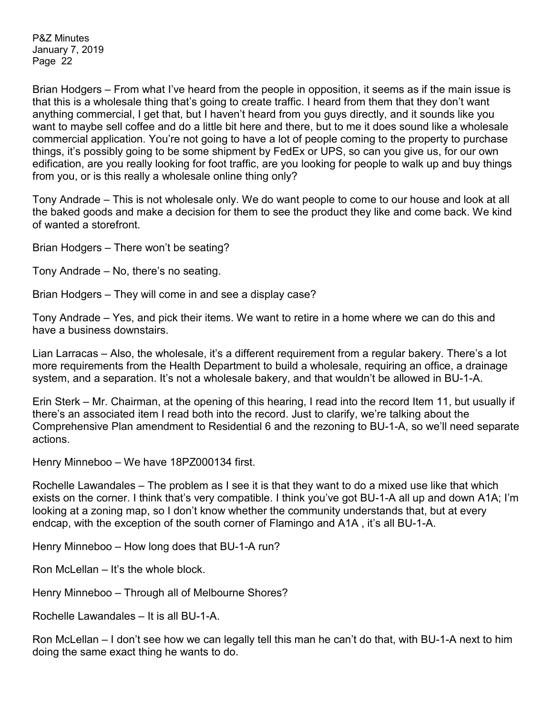Brian Hodgers – From what I've heard from the people in opposition, it seems as if the main issue is that this is a wholesale thing that's going to create traffic. I heard from them that they don't want anything commercial, I get that, but I haven't heard from you guys directly, and it sounds like you want to maybe sell coffee and do a little bit here and there, but to me it does sound like a wholesale commercial application. You're not going to have a lot of people coming to the property to purchase things, it's possibly going to be some shipment by FedEx or UPS, so can you give us, for our own edification, are you really looking for foot traffic, are you looking for people to walk up and buy things from you, or is this really a wholesale online thing only?

Tony Andrade – This is not wholesale only. We do want people to come to our house and look at all the baked goods and make a decision for them to see the product they like and come back. We kind of wanted a storefront.

Brian Hodgers – There won't be seating?

Tony Andrade – No, there's no seating.

Brian Hodgers – They will come in and see a display case?

Tony Andrade – Yes, and pick their items. We want to retire in a home where we can do this and have a business downstairs.

Lian Larracas – Also, the wholesale, it's a different requirement from a regular bakery. There's a lot more requirements from the Health Department to build a wholesale, requiring an office, a drainage system, and a separation. It's not a wholesale bakery, and that wouldn't be allowed in BU-1-A.

Erin Sterk – Mr. Chairman, at the opening of this hearing, I read into the record Item 11, but usually if there's an associated item I read both into the record. Just to clarify, we're talking about the Comprehensive Plan amendment to Residential 6 and the rezoning to BU-1-A, so we'll need separate actions.

Henry Minneboo – We have 18PZ000134 first.

Rochelle Lawandales – The problem as I see it is that they want to do a mixed use like that which exists on the corner. I think that's very compatible. I think you've got BU-1-A all up and down A1A; I'm looking at a zoning map, so I don't know whether the community understands that, but at every endcap, with the exception of the south corner of Flamingo and A1A , it's all BU-1-A.

Henry Minneboo – How long does that BU-1-A run?

Ron McLellan – It's the whole block.

Henry Minneboo – Through all of Melbourne Shores?

Rochelle Lawandales – It is all BU-1-A.

Ron McLellan – I don't see how we can legally tell this man he can't do that, with BU-1-A next to him doing the same exact thing he wants to do.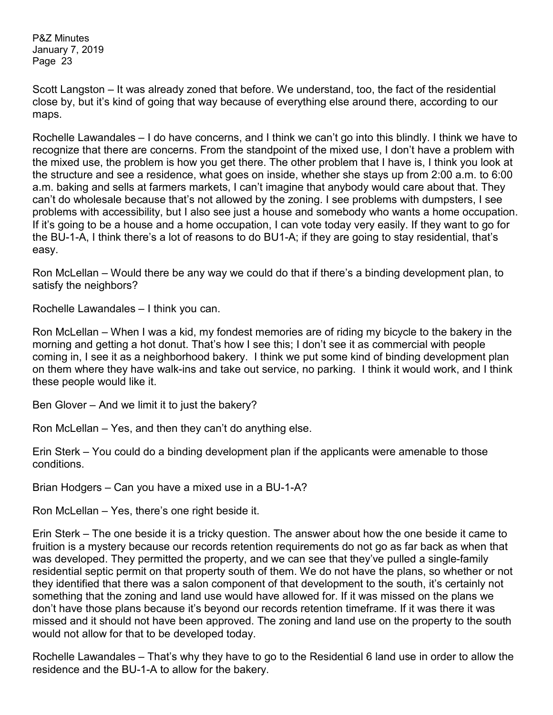Scott Langston – It was already zoned that before. We understand, too, the fact of the residential close by, but it's kind of going that way because of everything else around there, according to our maps.

Rochelle Lawandales – I do have concerns, and I think we can't go into this blindly. I think we have to recognize that there are concerns. From the standpoint of the mixed use, I don't have a problem with the mixed use, the problem is how you get there. The other problem that I have is, I think you look at the structure and see a residence, what goes on inside, whether she stays up from 2:00 a.m. to 6:00 a.m. baking and sells at farmers markets, I can't imagine that anybody would care about that. They can't do wholesale because that's not allowed by the zoning. I see problems with dumpsters, I see problems with accessibility, but I also see just a house and somebody who wants a home occupation. If it's going to be a house and a home occupation, I can vote today very easily. If they want to go for the BU-1-A, I think there's a lot of reasons to do BU1-A; if they are going to stay residential, that's easy.

Ron McLellan – Would there be any way we could do that if there's a binding development plan, to satisfy the neighbors?

Rochelle Lawandales – I think you can.

Ron McLellan – When I was a kid, my fondest memories are of riding my bicycle to the bakery in the morning and getting a hot donut. That's how I see this; I don't see it as commercial with people coming in, I see it as a neighborhood bakery. I think we put some kind of binding development plan on them where they have walk-ins and take out service, no parking. I think it would work, and I think these people would like it.

Ben Glover – And we limit it to just the bakery?

Ron McLellan – Yes, and then they can't do anything else.

Erin Sterk – You could do a binding development plan if the applicants were amenable to those conditions.

Brian Hodgers – Can you have a mixed use in a BU-1-A?

Ron McLellan – Yes, there's one right beside it.

Erin Sterk – The one beside it is a tricky question. The answer about how the one beside it came to fruition is a mystery because our records retention requirements do not go as far back as when that was developed. They permitted the property, and we can see that they've pulled a single-family residential septic permit on that property south of them. We do not have the plans, so whether or not they identified that there was a salon component of that development to the south, it's certainly not something that the zoning and land use would have allowed for. If it was missed on the plans we don't have those plans because it's beyond our records retention timeframe. If it was there it was missed and it should not have been approved. The zoning and land use on the property to the south would not allow for that to be developed today.

Rochelle Lawandales – That's why they have to go to the Residential 6 land use in order to allow the residence and the BU-1-A to allow for the bakery.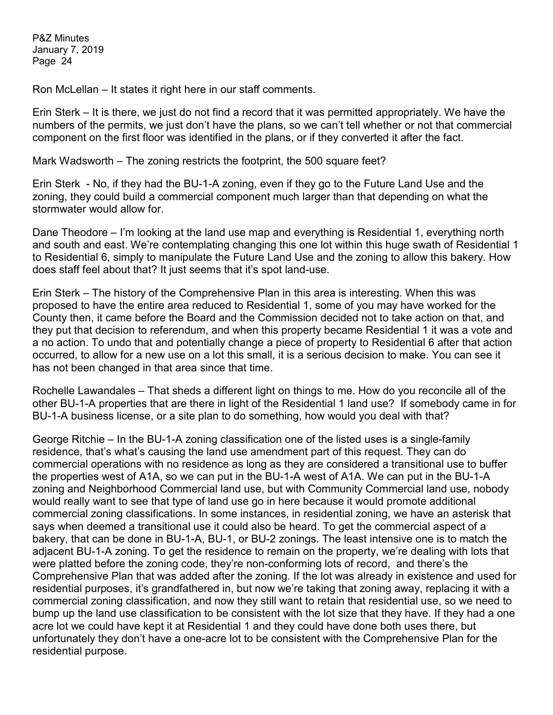Ron McLellan – It states it right here in our staff comments.

Erin Sterk – It is there, we just do not find a record that it was permitted appropriately. We have the numbers of the permits, we just don't have the plans, so we can't tell whether or not that commercial component on the first floor was identified in the plans, or if they converted it after the fact.

Mark Wadsworth – The zoning restricts the footprint, the 500 square feet?

Erin Sterk - No, if they had the BU-1-A zoning, even if they go to the Future Land Use and the zoning, they could build a commercial component much larger than that depending on what the stormwater would allow for.

Dane Theodore – I'm looking at the land use map and everything is Residential 1, everything north and south and east. We're contemplating changing this one lot within this huge swath of Residential 1 to Residential 6, simply to manipulate the Future Land Use and the zoning to allow this bakery. How does staff feel about that? It just seems that it's spot land-use.

Erin Sterk – The history of the Comprehensive Plan in this area is interesting. When this was proposed to have the entire area reduced to Residential 1, some of you may have worked for the County then, it came before the Board and the Commission decided not to take action on that, and they put that decision to referendum, and when this property became Residential 1 it was a vote and a no action. To undo that and potentially change a piece of property to Residential 6 after that action occurred, to allow for a new use on a lot this small, it is a serious decision to make. You can see it has not been changed in that area since that time.

Rochelle Lawandales – That sheds a different light on things to me. How do you reconcile all of the other BU-1-A properties that are there in light of the Residential 1 land use? If somebody came in for BU-1-A business license, or a site plan to do something, how would you deal with that?

George Ritchie – In the BU-1-A zoning classification one of the listed uses is a single-family residence, that's what's causing the land use amendment part of this request. They can do commercial operations with no residence as long as they are considered a transitional use to buffer the properties west of A1A, so we can put in the BU-1-A west of A1A. We can put in the BU-1-A zoning and Neighborhood Commercial land use, but with Community Commercial land use, nobody would really want to see that type of land use go in here because it would promote additional commercial zoning classifications. In some instances, in residential zoning, we have an asterisk that says when deemed a transitional use it could also be heard. To get the commercial aspect of a bakery, that can be done in BU-1-A, BU-1, or BU-2 zonings. The least intensive one is to match the adjacent BU-1-A zoning. To get the residence to remain on the property, we're dealing with lots that were platted before the zoning code, they're non-conforming lots of record, and there's the Comprehensive Plan that was added after the zoning. If the lot was already in existence and used for residential purposes, it's grandfathered in, but now we're taking that zoning away, replacing it with a commercial zoning classification, and now they still want to retain that residential use, so we need to bump up the land use classification to be consistent with the lot size that they have. If they had a one acre lot we could have kept it at Residential 1 and they could have done both uses there, but unfortunately they don't have a one-acre lot to be consistent with the Comprehensive Plan for the residential purpose.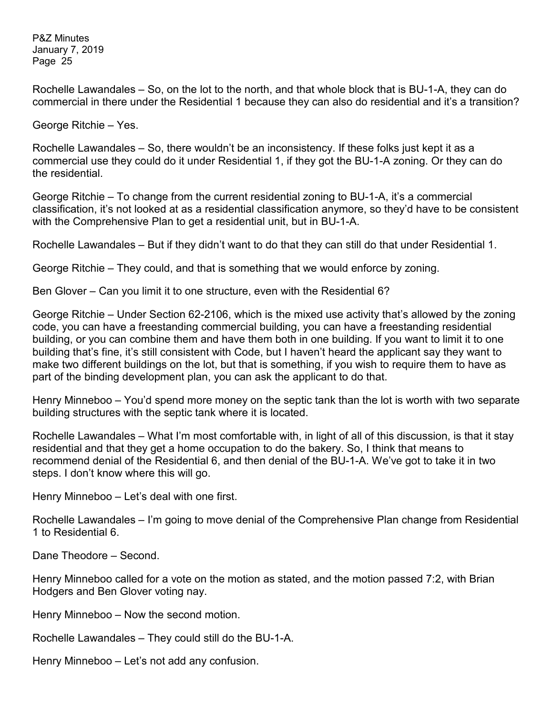Rochelle Lawandales – So, on the lot to the north, and that whole block that is BU-1-A, they can do commercial in there under the Residential 1 because they can also do residential and it's a transition?

George Ritchie – Yes.

Rochelle Lawandales – So, there wouldn't be an inconsistency. If these folks just kept it as a commercial use they could do it under Residential 1, if they got the BU-1-A zoning. Or they can do the residential.

George Ritchie – To change from the current residential zoning to BU-1-A, it's a commercial classification, it's not looked at as a residential classification anymore, so they'd have to be consistent with the Comprehensive Plan to get a residential unit, but in BU-1-A.

Rochelle Lawandales – But if they didn't want to do that they can still do that under Residential 1.

George Ritchie – They could, and that is something that we would enforce by zoning.

Ben Glover – Can you limit it to one structure, even with the Residential 6?

George Ritchie – Under Section 62-2106, which is the mixed use activity that's allowed by the zoning code, you can have a freestanding commercial building, you can have a freestanding residential building, or you can combine them and have them both in one building. If you want to limit it to one building that's fine, it's still consistent with Code, but I haven't heard the applicant say they want to make two different buildings on the lot, but that is something, if you wish to require them to have as part of the binding development plan, you can ask the applicant to do that.

Henry Minneboo – You'd spend more money on the septic tank than the lot is worth with two separate building structures with the septic tank where it is located.

Rochelle Lawandales – What I'm most comfortable with, in light of all of this discussion, is that it stay residential and that they get a home occupation to do the bakery. So, I think that means to recommend denial of the Residential 6, and then denial of the BU-1-A. We've got to take it in two steps. I don't know where this will go.

Henry Minneboo – Let's deal with one first.

Rochelle Lawandales – I'm going to move denial of the Comprehensive Plan change from Residential 1 to Residential 6.

Dane Theodore – Second.

Henry Minneboo called for a vote on the motion as stated, and the motion passed 7:2, with Brian Hodgers and Ben Glover voting nay.

Henry Minneboo – Now the second motion.

Rochelle Lawandales – They could still do the BU-1-A.

Henry Minneboo – Let's not add any confusion.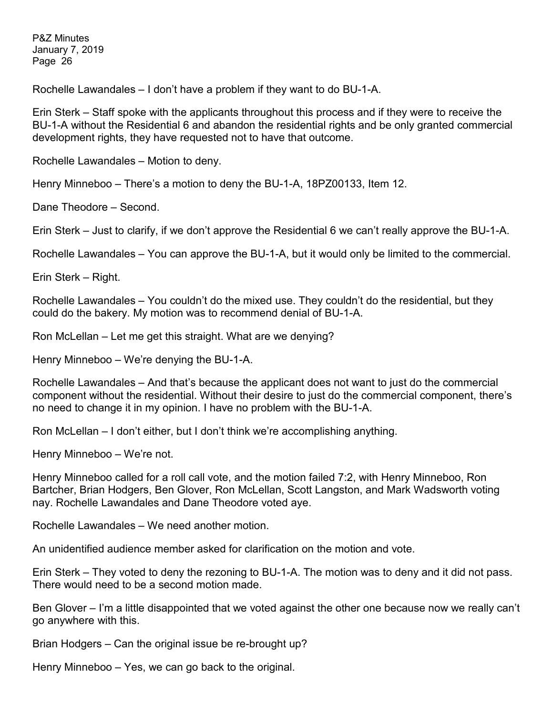Rochelle Lawandales – I don't have a problem if they want to do BU-1-A.

Erin Sterk – Staff spoke with the applicants throughout this process and if they were to receive the BU-1-A without the Residential 6 and abandon the residential rights and be only granted commercial development rights, they have requested not to have that outcome.

Rochelle Lawandales – Motion to deny.

Henry Minneboo – There's a motion to deny the BU-1-A, 18PZ00133, Item 12.

Dane Theodore – Second.

Erin Sterk – Just to clarify, if we don't approve the Residential 6 we can't really approve the BU-1-A.

Rochelle Lawandales – You can approve the BU-1-A, but it would only be limited to the commercial.

Erin Sterk – Right.

Rochelle Lawandales – You couldn't do the mixed use. They couldn't do the residential, but they could do the bakery. My motion was to recommend denial of BU-1-A.

Ron McLellan – Let me get this straight. What are we denying?

Henry Minneboo – We're denying the BU-1-A.

Rochelle Lawandales – And that's because the applicant does not want to just do the commercial component without the residential. Without their desire to just do the commercial component, there's no need to change it in my opinion. I have no problem with the BU-1-A.

Ron McLellan – I don't either, but I don't think we're accomplishing anything.

Henry Minneboo – We're not.

Henry Minneboo called for a roll call vote, and the motion failed 7:2, with Henry Minneboo, Ron Bartcher, Brian Hodgers, Ben Glover, Ron McLellan, Scott Langston, and Mark Wadsworth voting nay. Rochelle Lawandales and Dane Theodore voted aye.

Rochelle Lawandales – We need another motion.

An unidentified audience member asked for clarification on the motion and vote.

Erin Sterk – They voted to deny the rezoning to BU-1-A. The motion was to deny and it did not pass. There would need to be a second motion made.

Ben Glover – I'm a little disappointed that we voted against the other one because now we really can't go anywhere with this.

Brian Hodgers – Can the original issue be re-brought up?

Henry Minneboo – Yes, we can go back to the original.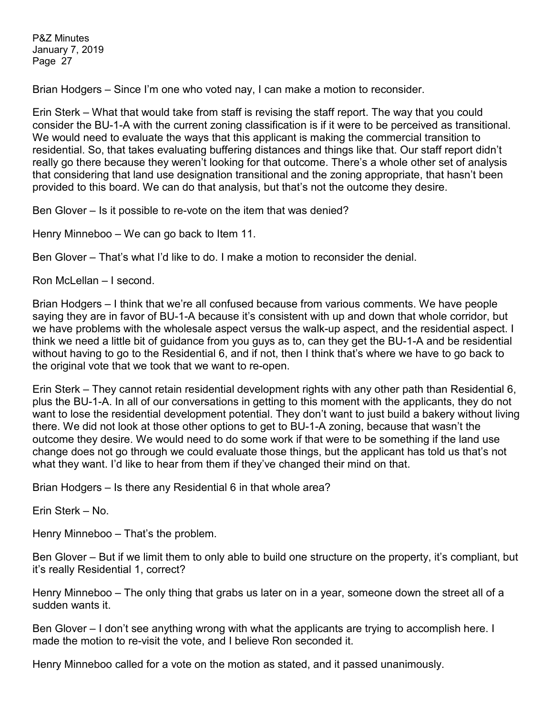Brian Hodgers – Since I'm one who voted nay, I can make a motion to reconsider.

Erin Sterk – What that would take from staff is revising the staff report. The way that you could consider the BU-1-A with the current zoning classification is if it were to be perceived as transitional. We would need to evaluate the ways that this applicant is making the commercial transition to residential. So, that takes evaluating buffering distances and things like that. Our staff report didn't really go there because they weren't looking for that outcome. There's a whole other set of analysis that considering that land use designation transitional and the zoning appropriate, that hasn't been provided to this board. We can do that analysis, but that's not the outcome they desire.

Ben Glover – Is it possible to re-vote on the item that was denied?

Henry Minneboo – We can go back to Item 11.

Ben Glover – That's what I'd like to do. I make a motion to reconsider the denial.

Ron McLellan – I second.

Brian Hodgers – I think that we're all confused because from various comments. We have people saying they are in favor of BU-1-A because it's consistent with up and down that whole corridor, but we have problems with the wholesale aspect versus the walk-up aspect, and the residential aspect. I think we need a little bit of guidance from you guys as to, can they get the BU-1-A and be residential without having to go to the Residential 6, and if not, then I think that's where we have to go back to the original vote that we took that we want to re-open.

Erin Sterk – They cannot retain residential development rights with any other path than Residential 6, plus the BU-1-A. In all of our conversations in getting to this moment with the applicants, they do not want to lose the residential development potential. They don't want to just build a bakery without living there. We did not look at those other options to get to BU-1-A zoning, because that wasn't the outcome they desire. We would need to do some work if that were to be something if the land use change does not go through we could evaluate those things, but the applicant has told us that's not what they want. I'd like to hear from them if they've changed their mind on that.

Brian Hodgers – Is there any Residential 6 in that whole area?

Erin Sterk – No.

Henry Minneboo – That's the problem.

Ben Glover – But if we limit them to only able to build one structure on the property, it's compliant, but it's really Residential 1, correct?

Henry Minneboo – The only thing that grabs us later on in a year, someone down the street all of a sudden wants it.

Ben Glover – I don't see anything wrong with what the applicants are trying to accomplish here. I made the motion to re-visit the vote, and I believe Ron seconded it.

Henry Minneboo called for a vote on the motion as stated, and it passed unanimously.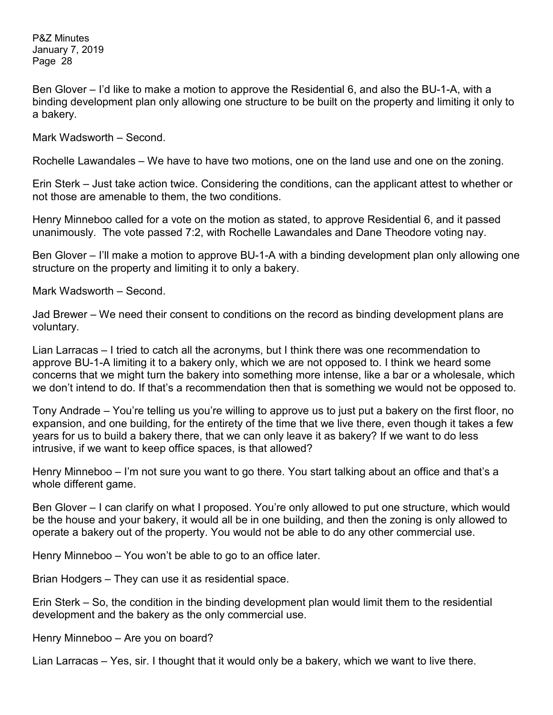Ben Glover – I'd like to make a motion to approve the Residential 6, and also the BU-1-A, with a binding development plan only allowing one structure to be built on the property and limiting it only to a bakery.

Mark Wadsworth – Second.

Rochelle Lawandales – We have to have two motions, one on the land use and one on the zoning.

Erin Sterk – Just take action twice. Considering the conditions, can the applicant attest to whether or not those are amenable to them, the two conditions.

Henry Minneboo called for a vote on the motion as stated, to approve Residential 6, and it passed unanimously. The vote passed 7:2, with Rochelle Lawandales and Dane Theodore voting nay.

Ben Glover – I'll make a motion to approve BU-1-A with a binding development plan only allowing one structure on the property and limiting it to only a bakery.

Mark Wadsworth – Second.

Jad Brewer – We need their consent to conditions on the record as binding development plans are voluntary.

Lian Larracas – I tried to catch all the acronyms, but I think there was one recommendation to approve BU-1-A limiting it to a bakery only, which we are not opposed to. I think we heard some concerns that we might turn the bakery into something more intense, like a bar or a wholesale, which we don't intend to do. If that's a recommendation then that is something we would not be opposed to.

Tony Andrade – You're telling us you're willing to approve us to just put a bakery on the first floor, no expansion, and one building, for the entirety of the time that we live there, even though it takes a few years for us to build a bakery there, that we can only leave it as bakery? If we want to do less intrusive, if we want to keep office spaces, is that allowed?

Henry Minneboo – I'm not sure you want to go there. You start talking about an office and that's a whole different game.

Ben Glover – I can clarify on what I proposed. You're only allowed to put one structure, which would be the house and your bakery, it would all be in one building, and then the zoning is only allowed to operate a bakery out of the property. You would not be able to do any other commercial use.

Henry Minneboo – You won't be able to go to an office later.

Brian Hodgers – They can use it as residential space.

Erin Sterk – So, the condition in the binding development plan would limit them to the residential development and the bakery as the only commercial use.

Henry Minneboo – Are you on board?

Lian Larracas – Yes, sir. I thought that it would only be a bakery, which we want to live there.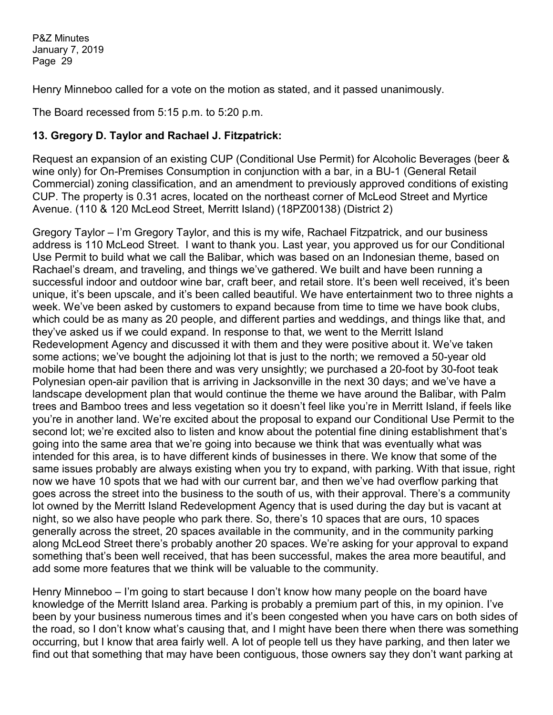Henry Minneboo called for a vote on the motion as stated, and it passed unanimously.

The Board recessed from 5:15 p.m. to 5:20 p.m.

# **13. Gregory D. Taylor and Rachael J. Fitzpatrick:**

Request an expansion of an existing CUP (Conditional Use Permit) for Alcoholic Beverages (beer & wine only) for On-Premises Consumption in conjunction with a bar, in a BU-1 (General Retail Commercial) zoning classification, and an amendment to previously approved conditions of existing CUP. The property is 0.31 acres, located on the northeast corner of McLeod Street and Myrtice Avenue. (110 & 120 McLeod Street, Merritt Island) (18PZ00138) (District 2)

Gregory Taylor – I'm Gregory Taylor, and this is my wife, Rachael Fitzpatrick, and our business address is 110 McLeod Street. I want to thank you. Last year, you approved us for our Conditional Use Permit to build what we call the Balibar, which was based on an Indonesian theme, based on Rachael's dream, and traveling, and things we've gathered. We built and have been running a successful indoor and outdoor wine bar, craft beer, and retail store. It's been well received, it's been unique, it's been upscale, and it's been called beautiful. We have entertainment two to three nights a week. We've been asked by customers to expand because from time to time we have book clubs, which could be as many as 20 people, and different parties and weddings, and things like that, and they've asked us if we could expand. In response to that, we went to the Merritt Island Redevelopment Agency and discussed it with them and they were positive about it. We've taken some actions; we've bought the adjoining lot that is just to the north; we removed a 50-year old mobile home that had been there and was very unsightly; we purchased a 20-foot by 30-foot teak Polynesian open-air pavilion that is arriving in Jacksonville in the next 30 days; and we've have a landscape development plan that would continue the theme we have around the Balibar, with Palm trees and Bamboo trees and less vegetation so it doesn't feel like you're in Merritt Island, if feels like you're in another land. We're excited about the proposal to expand our Conditional Use Permit to the second lot; we're excited also to listen and know about the potential fine dining establishment that's going into the same area that we're going into because we think that was eventually what was intended for this area, is to have different kinds of businesses in there. We know that some of the same issues probably are always existing when you try to expand, with parking. With that issue, right now we have 10 spots that we had with our current bar, and then we've had overflow parking that goes across the street into the business to the south of us, with their approval. There's a community lot owned by the Merritt Island Redevelopment Agency that is used during the day but is vacant at night, so we also have people who park there. So, there's 10 spaces that are ours, 10 spaces generally across the street, 20 spaces available in the community, and in the community parking along McLeod Street there's probably another 20 spaces. We're asking for your approval to expand something that's been well received, that has been successful, makes the area more beautiful, and add some more features that we think will be valuable to the community.

Henry Minneboo – I'm going to start because I don't know how many people on the board have knowledge of the Merritt Island area. Parking is probably a premium part of this, in my opinion. I've been by your business numerous times and it's been congested when you have cars on both sides of the road, so I don't know what's causing that, and I might have been there when there was something occurring, but I know that area fairly well. A lot of people tell us they have parking, and then later we find out that something that may have been contiguous, those owners say they don't want parking at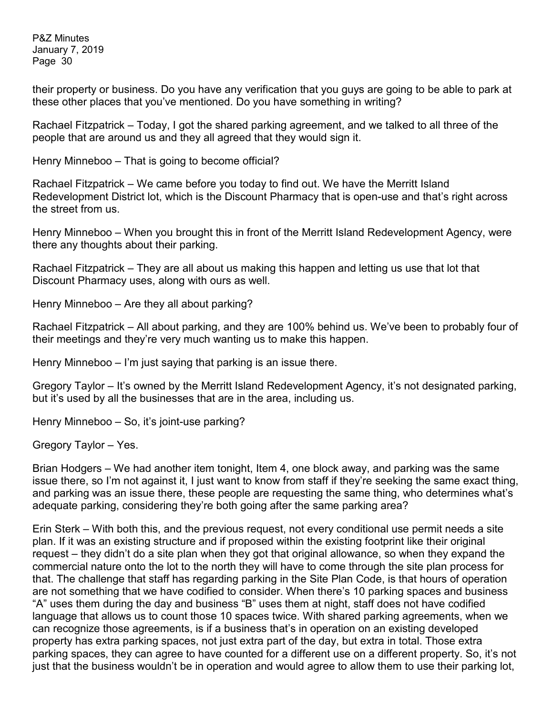their property or business. Do you have any verification that you guys are going to be able to park at these other places that you've mentioned. Do you have something in writing?

Rachael Fitzpatrick – Today, I got the shared parking agreement, and we talked to all three of the people that are around us and they all agreed that they would sign it.

Henry Minneboo – That is going to become official?

Rachael Fitzpatrick – We came before you today to find out. We have the Merritt Island Redevelopment District lot, which is the Discount Pharmacy that is open-use and that's right across the street from us.

Henry Minneboo – When you brought this in front of the Merritt Island Redevelopment Agency, were there any thoughts about their parking.

Rachael Fitzpatrick – They are all about us making this happen and letting us use that lot that Discount Pharmacy uses, along with ours as well.

Henry Minneboo – Are they all about parking?

Rachael Fitzpatrick – All about parking, and they are 100% behind us. We've been to probably four of their meetings and they're very much wanting us to make this happen.

Henry Minneboo – I'm just saying that parking is an issue there.

Gregory Taylor – It's owned by the Merritt Island Redevelopment Agency, it's not designated parking, but it's used by all the businesses that are in the area, including us.

Henry Minneboo – So, it's joint-use parking?

Gregory Taylor – Yes.

Brian Hodgers – We had another item tonight, Item 4, one block away, and parking was the same issue there, so I'm not against it, I just want to know from staff if they're seeking the same exact thing, and parking was an issue there, these people are requesting the same thing, who determines what's adequate parking, considering they're both going after the same parking area?

Erin Sterk – With both this, and the previous request, not every conditional use permit needs a site plan. If it was an existing structure and if proposed within the existing footprint like their original request – they didn't do a site plan when they got that original allowance, so when they expand the commercial nature onto the lot to the north they will have to come through the site plan process for that. The challenge that staff has regarding parking in the Site Plan Code, is that hours of operation are not something that we have codified to consider. When there's 10 parking spaces and business "A" uses them during the day and business "B" uses them at night, staff does not have codified language that allows us to count those 10 spaces twice. With shared parking agreements, when we can recognize those agreements, is if a business that's in operation on an existing developed property has extra parking spaces, not just extra part of the day, but extra in total. Those extra parking spaces, they can agree to have counted for a different use on a different property. So, it's not just that the business wouldn't be in operation and would agree to allow them to use their parking lot,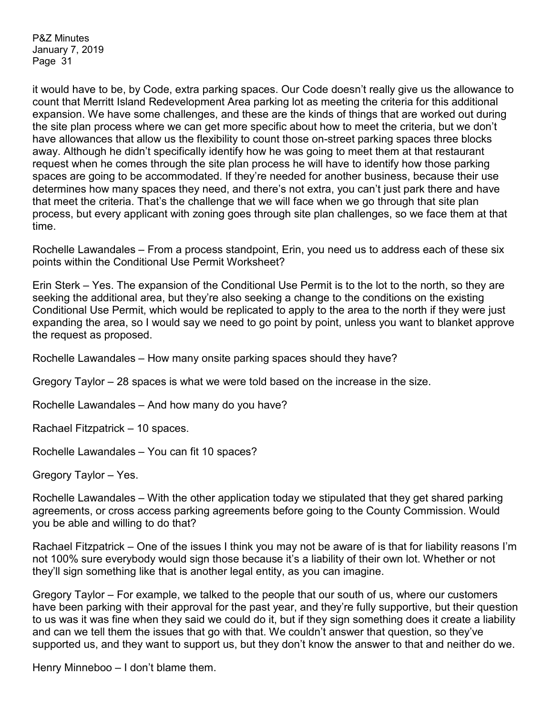it would have to be, by Code, extra parking spaces. Our Code doesn't really give us the allowance to count that Merritt Island Redevelopment Area parking lot as meeting the criteria for this additional expansion. We have some challenges, and these are the kinds of things that are worked out during the site plan process where we can get more specific about how to meet the criteria, but we don't have allowances that allow us the flexibility to count those on-street parking spaces three blocks away. Although he didn't specifically identify how he was going to meet them at that restaurant request when he comes through the site plan process he will have to identify how those parking spaces are going to be accommodated. If they're needed for another business, because their use determines how many spaces they need, and there's not extra, you can't just park there and have that meet the criteria. That's the challenge that we will face when we go through that site plan process, but every applicant with zoning goes through site plan challenges, so we face them at that time.

Rochelle Lawandales – From a process standpoint, Erin, you need us to address each of these six points within the Conditional Use Permit Worksheet?

Erin Sterk – Yes. The expansion of the Conditional Use Permit is to the lot to the north, so they are seeking the additional area, but they're also seeking a change to the conditions on the existing Conditional Use Permit, which would be replicated to apply to the area to the north if they were just expanding the area, so I would say we need to go point by point, unless you want to blanket approve the request as proposed.

Rochelle Lawandales – How many onsite parking spaces should they have?

Gregory Taylor – 28 spaces is what we were told based on the increase in the size.

Rochelle Lawandales – And how many do you have?

Rachael Fitzpatrick – 10 spaces.

Rochelle Lawandales – You can fit 10 spaces?

Gregory Taylor – Yes.

Rochelle Lawandales – With the other application today we stipulated that they get shared parking agreements, or cross access parking agreements before going to the County Commission. Would you be able and willing to do that?

Rachael Fitzpatrick – One of the issues I think you may not be aware of is that for liability reasons I'm not 100% sure everybody would sign those because it's a liability of their own lot. Whether or not they'll sign something like that is another legal entity, as you can imagine.

Gregory Taylor – For example, we talked to the people that our south of us, where our customers have been parking with their approval for the past year, and they're fully supportive, but their question to us was it was fine when they said we could do it, but if they sign something does it create a liability and can we tell them the issues that go with that. We couldn't answer that question, so they've supported us, and they want to support us, but they don't know the answer to that and neither do we.

Henry Minneboo – I don't blame them.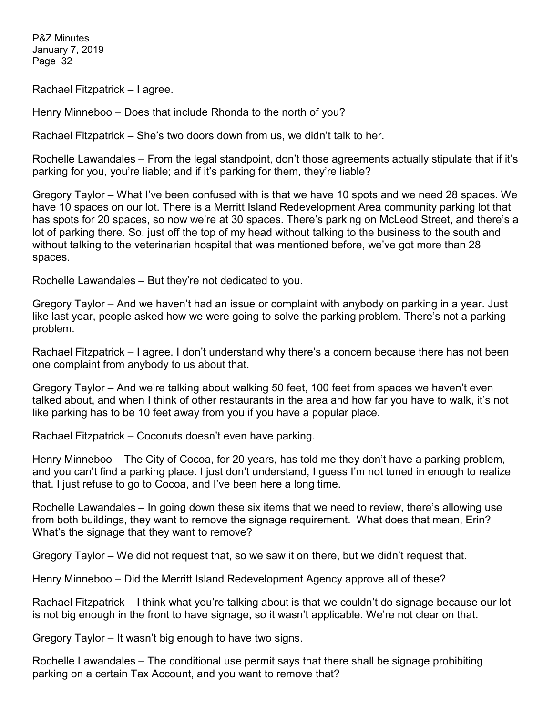Rachael Fitzpatrick – I agree.

Henry Minneboo – Does that include Rhonda to the north of you?

Rachael Fitzpatrick – She's two doors down from us, we didn't talk to her.

Rochelle Lawandales – From the legal standpoint, don't those agreements actually stipulate that if it's parking for you, you're liable; and if it's parking for them, they're liable?

Gregory Taylor – What I've been confused with is that we have 10 spots and we need 28 spaces. We have 10 spaces on our lot. There is a Merritt Island Redevelopment Area community parking lot that has spots for 20 spaces, so now we're at 30 spaces. There's parking on McLeod Street, and there's a lot of parking there. So, just off the top of my head without talking to the business to the south and without talking to the veterinarian hospital that was mentioned before, we've got more than 28 spaces.

Rochelle Lawandales – But they're not dedicated to you.

Gregory Taylor – And we haven't had an issue or complaint with anybody on parking in a year. Just like last year, people asked how we were going to solve the parking problem. There's not a parking problem.

Rachael Fitzpatrick – I agree. I don't understand why there's a concern because there has not been one complaint from anybody to us about that.

Gregory Taylor – And we're talking about walking 50 feet, 100 feet from spaces we haven't even talked about, and when I think of other restaurants in the area and how far you have to walk, it's not like parking has to be 10 feet away from you if you have a popular place.

Rachael Fitzpatrick – Coconuts doesn't even have parking.

Henry Minneboo – The City of Cocoa, for 20 years, has told me they don't have a parking problem, and you can't find a parking place. I just don't understand, I guess I'm not tuned in enough to realize that. I just refuse to go to Cocoa, and I've been here a long time.

Rochelle Lawandales – In going down these six items that we need to review, there's allowing use from both buildings, they want to remove the signage requirement. What does that mean, Erin? What's the signage that they want to remove?

Gregory Taylor – We did not request that, so we saw it on there, but we didn't request that.

Henry Minneboo – Did the Merritt Island Redevelopment Agency approve all of these?

Rachael Fitzpatrick – I think what you're talking about is that we couldn't do signage because our lot is not big enough in the front to have signage, so it wasn't applicable. We're not clear on that.

Gregory Taylor – It wasn't big enough to have two signs.

Rochelle Lawandales – The conditional use permit says that there shall be signage prohibiting parking on a certain Tax Account, and you want to remove that?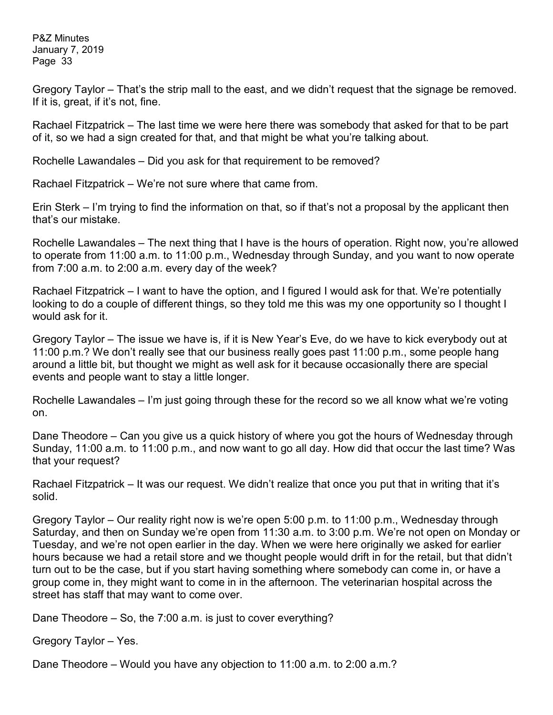Gregory Taylor – That's the strip mall to the east, and we didn't request that the signage be removed. If it is, great, if it's not, fine.

Rachael Fitzpatrick – The last time we were here there was somebody that asked for that to be part of it, so we had a sign created for that, and that might be what you're talking about.

Rochelle Lawandales – Did you ask for that requirement to be removed?

Rachael Fitzpatrick – We're not sure where that came from.

Erin Sterk – I'm trying to find the information on that, so if that's not a proposal by the applicant then that's our mistake.

Rochelle Lawandales – The next thing that I have is the hours of operation. Right now, you're allowed to operate from 11:00 a.m. to 11:00 p.m., Wednesday through Sunday, and you want to now operate from 7:00 a.m. to 2:00 a.m. every day of the week?

Rachael Fitzpatrick – I want to have the option, and I figured I would ask for that. We're potentially looking to do a couple of different things, so they told me this was my one opportunity so I thought I would ask for it.

Gregory Taylor – The issue we have is, if it is New Year's Eve, do we have to kick everybody out at 11:00 p.m.? We don't really see that our business really goes past 11:00 p.m., some people hang around a little bit, but thought we might as well ask for it because occasionally there are special events and people want to stay a little longer.

Rochelle Lawandales – I'm just going through these for the record so we all know what we're voting on.

Dane Theodore – Can you give us a quick history of where you got the hours of Wednesday through Sunday, 11:00 a.m. to 11:00 p.m., and now want to go all day. How did that occur the last time? Was that your request?

Rachael Fitzpatrick – It was our request. We didn't realize that once you put that in writing that it's solid.

Gregory Taylor – Our reality right now is we're open 5:00 p.m. to 11:00 p.m., Wednesday through Saturday, and then on Sunday we're open from 11:30 a.m. to 3:00 p.m. We're not open on Monday or Tuesday, and we're not open earlier in the day. When we were here originally we asked for earlier hours because we had a retail store and we thought people would drift in for the retail, but that didn't turn out to be the case, but if you start having something where somebody can come in, or have a group come in, they might want to come in in the afternoon. The veterinarian hospital across the street has staff that may want to come over.

Dane Theodore – So, the 7:00 a.m. is just to cover everything?

Gregory Taylor – Yes.

Dane Theodore – Would you have any objection to 11:00 a.m. to 2:00 a.m.?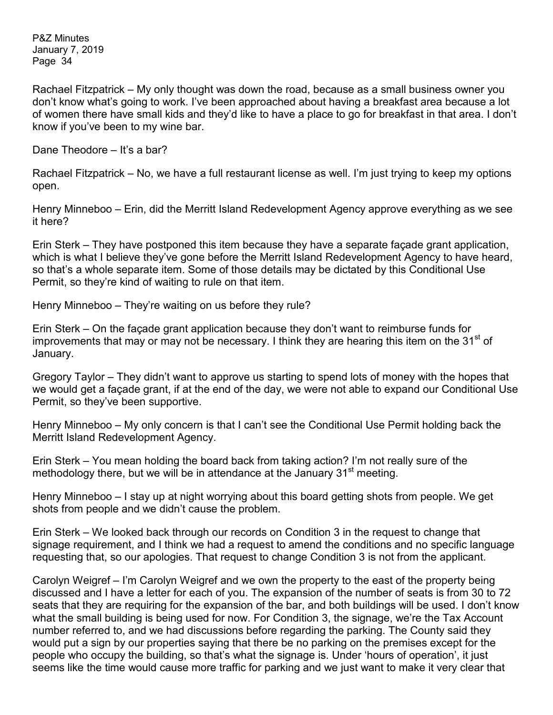Rachael Fitzpatrick – My only thought was down the road, because as a small business owner you don't know what's going to work. I've been approached about having a breakfast area because a lot of women there have small kids and they'd like to have a place to go for breakfast in that area. I don't know if you've been to my wine bar.

Dane Theodore – It's a bar?

Rachael Fitzpatrick – No, we have a full restaurant license as well. I'm just trying to keep my options open.

Henry Minneboo – Erin, did the Merritt Island Redevelopment Agency approve everything as we see it here?

Erin Sterk – They have postponed this item because they have a separate façade grant application, which is what I believe they've gone before the Merritt Island Redevelopment Agency to have heard, so that's a whole separate item. Some of those details may be dictated by this Conditional Use Permit, so they're kind of waiting to rule on that item.

Henry Minneboo – They're waiting on us before they rule?

Erin Sterk – On the façade grant application because they don't want to reimburse funds for improvements that may or may not be necessary. I think they are hearing this item on the 31<sup>st</sup> of January.

Gregory Taylor – They didn't want to approve us starting to spend lots of money with the hopes that we would get a façade grant, if at the end of the day, we were not able to expand our Conditional Use Permit, so they've been supportive.

Henry Minneboo – My only concern is that I can't see the Conditional Use Permit holding back the Merritt Island Redevelopment Agency.

Erin Sterk – You mean holding the board back from taking action? I'm not really sure of the methodology there, but we will be in attendance at the January  $31<sup>st</sup>$  meeting.

Henry Minneboo – I stay up at night worrying about this board getting shots from people. We get shots from people and we didn't cause the problem.

Erin Sterk – We looked back through our records on Condition 3 in the request to change that signage requirement, and I think we had a request to amend the conditions and no specific language requesting that, so our apologies. That request to change Condition 3 is not from the applicant.

Carolyn Weigref – I'm Carolyn Weigref and we own the property to the east of the property being discussed and I have a letter for each of you. The expansion of the number of seats is from 30 to 72 seats that they are requiring for the expansion of the bar, and both buildings will be used. I don't know what the small building is being used for now. For Condition 3, the signage, we're the Tax Account number referred to, and we had discussions before regarding the parking. The County said they would put a sign by our properties saying that there be no parking on the premises except for the people who occupy the building, so that's what the signage is. Under 'hours of operation', it just seems like the time would cause more traffic for parking and we just want to make it very clear that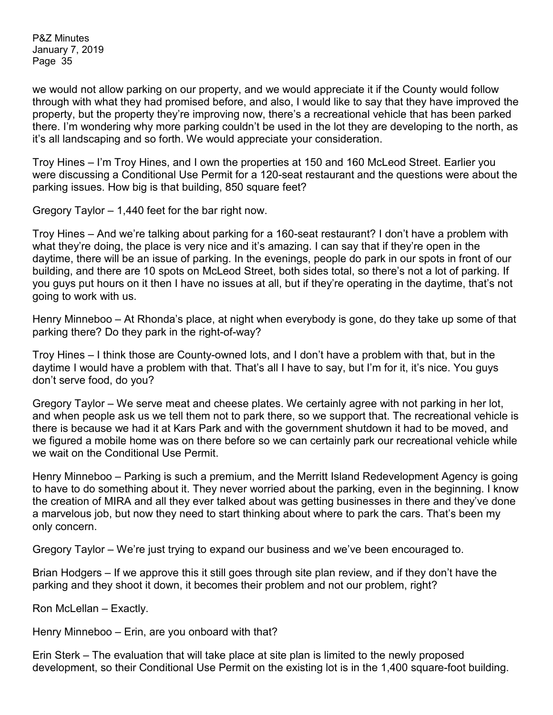we would not allow parking on our property, and we would appreciate it if the County would follow through with what they had promised before, and also, I would like to say that they have improved the property, but the property they're improving now, there's a recreational vehicle that has been parked there. I'm wondering why more parking couldn't be used in the lot they are developing to the north, as it's all landscaping and so forth. We would appreciate your consideration.

Troy Hines – I'm Troy Hines, and I own the properties at 150 and 160 McLeod Street. Earlier you were discussing a Conditional Use Permit for a 120-seat restaurant and the questions were about the parking issues. How big is that building, 850 square feet?

Gregory Taylor – 1,440 feet for the bar right now.

Troy Hines – And we're talking about parking for a 160-seat restaurant? I don't have a problem with what they're doing, the place is very nice and it's amazing. I can say that if they're open in the daytime, there will be an issue of parking. In the evenings, people do park in our spots in front of our building, and there are 10 spots on McLeod Street, both sides total, so there's not a lot of parking. If you guys put hours on it then I have no issues at all, but if they're operating in the daytime, that's not going to work with us.

Henry Minneboo – At Rhonda's place, at night when everybody is gone, do they take up some of that parking there? Do they park in the right-of-way?

Troy Hines – I think those are County-owned lots, and I don't have a problem with that, but in the daytime I would have a problem with that. That's all I have to say, but I'm for it, it's nice. You guys don't serve food, do you?

Gregory Taylor – We serve meat and cheese plates. We certainly agree with not parking in her lot, and when people ask us we tell them not to park there, so we support that. The recreational vehicle is there is because we had it at Kars Park and with the government shutdown it had to be moved, and we figured a mobile home was on there before so we can certainly park our recreational vehicle while we wait on the Conditional Use Permit.

Henry Minneboo – Parking is such a premium, and the Merritt Island Redevelopment Agency is going to have to do something about it. They never worried about the parking, even in the beginning. I know the creation of MIRA and all they ever talked about was getting businesses in there and they've done a marvelous job, but now they need to start thinking about where to park the cars. That's been my only concern.

Gregory Taylor – We're just trying to expand our business and we've been encouraged to.

Brian Hodgers – If we approve this it still goes through site plan review, and if they don't have the parking and they shoot it down, it becomes their problem and not our problem, right?

Ron McLellan – Exactly.

Henry Minneboo – Erin, are you onboard with that?

Erin Sterk – The evaluation that will take place at site plan is limited to the newly proposed development, so their Conditional Use Permit on the existing lot is in the 1,400 square-foot building.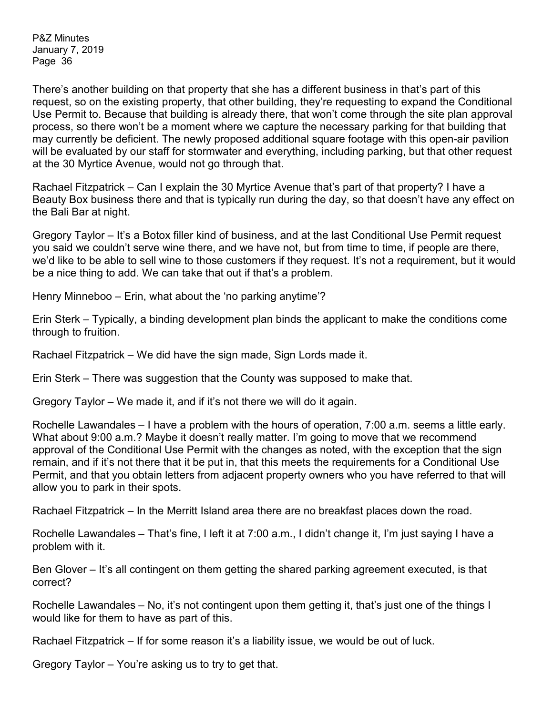There's another building on that property that she has a different business in that's part of this request, so on the existing property, that other building, they're requesting to expand the Conditional Use Permit to. Because that building is already there, that won't come through the site plan approval process, so there won't be a moment where we capture the necessary parking for that building that may currently be deficient. The newly proposed additional square footage with this open-air pavilion will be evaluated by our staff for stormwater and everything, including parking, but that other request at the 30 Myrtice Avenue, would not go through that.

Rachael Fitzpatrick – Can I explain the 30 Myrtice Avenue that's part of that property? I have a Beauty Box business there and that is typically run during the day, so that doesn't have any effect on the Bali Bar at night.

Gregory Taylor – It's a Botox filler kind of business, and at the last Conditional Use Permit request you said we couldn't serve wine there, and we have not, but from time to time, if people are there, we'd like to be able to sell wine to those customers if they request. It's not a requirement, but it would be a nice thing to add. We can take that out if that's a problem.

Henry Minneboo – Erin, what about the 'no parking anytime'?

Erin Sterk – Typically, a binding development plan binds the applicant to make the conditions come through to fruition.

Rachael Fitzpatrick – We did have the sign made, Sign Lords made it.

Erin Sterk – There was suggestion that the County was supposed to make that.

Gregory Taylor – We made it, and if it's not there we will do it again.

Rochelle Lawandales – I have a problem with the hours of operation, 7:00 a.m. seems a little early. What about 9:00 a.m.? Maybe it doesn't really matter. I'm going to move that we recommend approval of the Conditional Use Permit with the changes as noted, with the exception that the sign remain, and if it's not there that it be put in, that this meets the requirements for a Conditional Use Permit, and that you obtain letters from adjacent property owners who you have referred to that will allow you to park in their spots.

Rachael Fitzpatrick – In the Merritt Island area there are no breakfast places down the road.

Rochelle Lawandales – That's fine, I left it at 7:00 a.m., I didn't change it, I'm just saying I have a problem with it.

Ben Glover – It's all contingent on them getting the shared parking agreement executed, is that correct?

Rochelle Lawandales – No, it's not contingent upon them getting it, that's just one of the things I would like for them to have as part of this.

Rachael Fitzpatrick – If for some reason it's a liability issue, we would be out of luck.

Gregory Taylor – You're asking us to try to get that.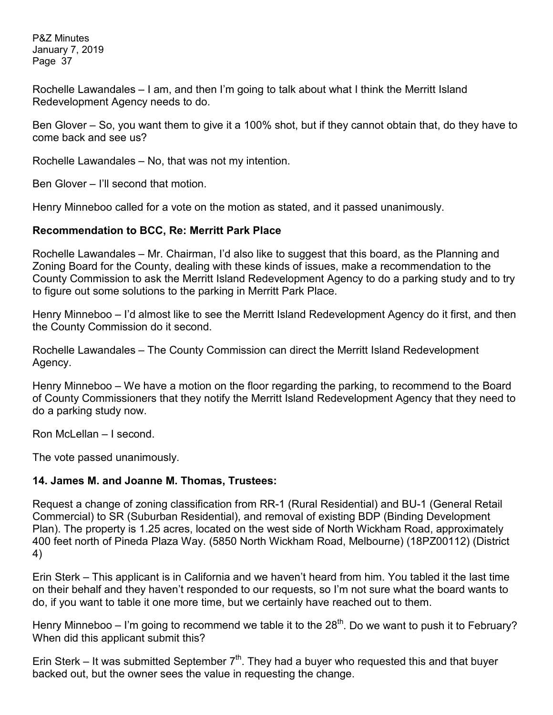Rochelle Lawandales – I am, and then I'm going to talk about what I think the Merritt Island Redevelopment Agency needs to do.

Ben Glover – So, you want them to give it a 100% shot, but if they cannot obtain that, do they have to come back and see us?

Rochelle Lawandales – No, that was not my intention.

Ben Glover – I'll second that motion.

Henry Minneboo called for a vote on the motion as stated, and it passed unanimously.

#### **Recommendation to BCC, Re: Merritt Park Place**

Rochelle Lawandales – Mr. Chairman, I'd also like to suggest that this board, as the Planning and Zoning Board for the County, dealing with these kinds of issues, make a recommendation to the County Commission to ask the Merritt Island Redevelopment Agency to do a parking study and to try to figure out some solutions to the parking in Merritt Park Place.

Henry Minneboo – I'd almost like to see the Merritt Island Redevelopment Agency do it first, and then the County Commission do it second.

Rochelle Lawandales – The County Commission can direct the Merritt Island Redevelopment Agency.

Henry Minneboo – We have a motion on the floor regarding the parking, to recommend to the Board of County Commissioners that they notify the Merritt Island Redevelopment Agency that they need to do a parking study now.

Ron McLellan – I second.

The vote passed unanimously.

#### **14. James M. and Joanne M. Thomas, Trustees:**

Request a change of zoning classification from RR-1 (Rural Residential) and BU-1 (General Retail Commercial) to SR (Suburban Residential), and removal of existing BDP (Binding Development Plan). The property is 1.25 acres, located on the west side of North Wickham Road, approximately 400 feet north of Pineda Plaza Way. (5850 North Wickham Road, Melbourne) (18PZ00112) (District 4)

Erin Sterk – This applicant is in California and we haven't heard from him. You tabled it the last time on their behalf and they haven't responded to our requests, so I'm not sure what the board wants to do, if you want to table it one more time, but we certainly have reached out to them.

Henry Minneboo – I'm going to recommend we table it to the  $28<sup>th</sup>$ . Do we want to push it to February? When did this applicant submit this?

Erin Sterk – It was submitted September  $7<sup>th</sup>$ . They had a buyer who requested this and that buyer backed out, but the owner sees the value in requesting the change.